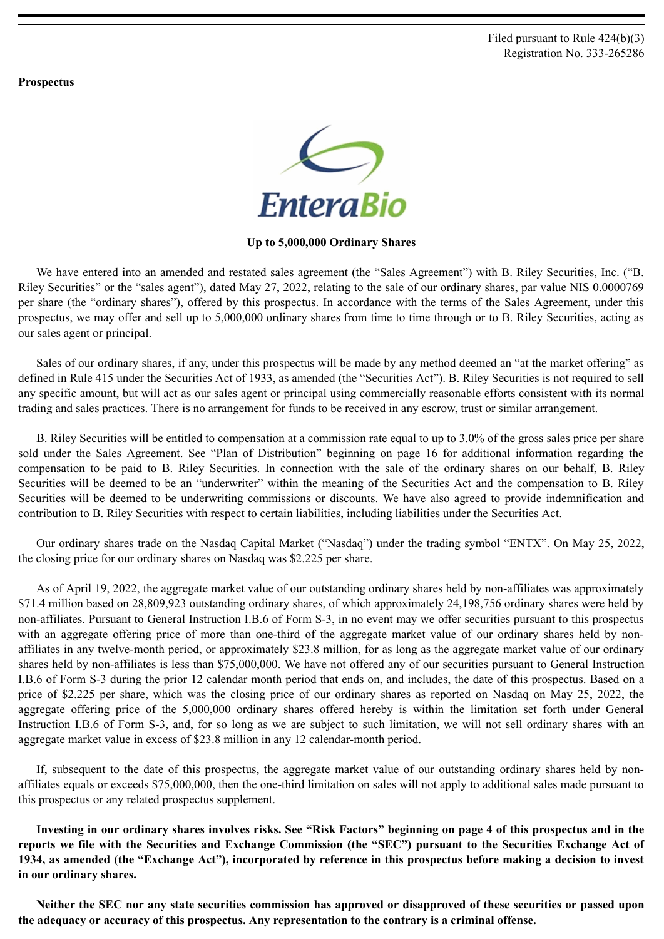Filed pursuant to Rule 424(b)(3) Registration No. 333-265286

**Prospectus**



#### **Up to 5,000,000 Ordinary Shares**

We have entered into an amended and restated sales agreement (the "Sales Agreement") with B. Riley Securities, Inc. ("B. Riley Securities" or the "sales agent"), dated May 27, 2022, relating to the sale of our ordinary shares, par value NIS 0.0000769 per share (the "ordinary shares"), offered by this prospectus. In accordance with the terms of the Sales Agreement, under this prospectus, we may offer and sell up to 5,000,000 ordinary shares from time to time through or to B. Riley Securities, acting as our sales agent or principal.

Sales of our ordinary shares, if any, under this prospectus will be made by any method deemed an "at the market offering" as defined in Rule 415 under the Securities Act of 1933, as amended (the "Securities Act"). B. Riley Securities is not required to sell any specific amount, but will act as our sales agent or principal using commercially reasonable efforts consistent with its normal trading and sales practices. There is no arrangement for funds to be received in any escrow, trust or similar arrangement.

B. Riley Securities will be entitled to compensation at a commission rate equal to up to 3.0% of the gross sales price per share sold under the Sales Agreement. See "Plan of Distribution" beginning on page 16 for additional information regarding the compensation to be paid to B. Riley Securities. In connection with the sale of the ordinary shares on our behalf, B. Riley Securities will be deemed to be an "underwriter" within the meaning of the Securities Act and the compensation to B. Riley Securities will be deemed to be underwriting commissions or discounts. We have also agreed to provide indemnification and contribution to B. Riley Securities with respect to certain liabilities, including liabilities under the Securities Act.

Our ordinary shares trade on the Nasdaq Capital Market ("Nasdaq") under the trading symbol "ENTX". On May 25, 2022, the closing price for our ordinary shares on Nasdaq was \$2.225 per share.

As of April 19, 2022, the aggregate market value of our outstanding ordinary shares held by non-affiliates was approximately \$71.4 million based on 28,809,923 outstanding ordinary shares, of which approximately 24,198,756 ordinary shares were held by non-affiliates. Pursuant to General Instruction I.B.6 of Form S-3, in no event may we offer securities pursuant to this prospectus with an aggregate offering price of more than one-third of the aggregate market value of our ordinary shares held by nonaffiliates in any twelve-month period, or approximately \$23.8 million, for as long as the aggregate market value of our ordinary shares held by non-affiliates is less than \$75,000,000. We have not offered any of our securities pursuant to General Instruction I.B.6 of Form S-3 during the prior 12 calendar month period that ends on, and includes, the date of this prospectus. Based on a price of \$2.225 per share, which was the closing price of our ordinary shares as reported on Nasdaq on May 25, 2022, the aggregate offering price of the 5,000,000 ordinary shares offered hereby is within the limitation set forth under General Instruction I.B.6 of Form S-3, and, for so long as we are subject to such limitation, we will not sell ordinary shares with an aggregate market value in excess of \$23.8 million in any 12 calendar-month period.

If, subsequent to the date of this prospectus, the aggregate market value of our outstanding ordinary shares held by nonaffiliates equals or exceeds \$75,000,000, then the one-third limitation on sales will not apply to additional sales made pursuant to this prospectus or any related prospectus supplement.

**Investing in our ordinary shares involves risks. See "Risk Factors" beginning on page 4 of this prospectus and in the reports we file with the Securities and Exchange Commission (the "SEC") pursuant to the Securities Exchange Act of 1934, as amended (the "Exchange Act"), incorporated by reference in this prospectus before making a decision to invest in our ordinary shares.**

**Neither the SEC nor any state securities commission has approved or disapproved of these securities or passed upon the adequacy or accuracy of this prospectus. Any representation to the contrary is a criminal offense.**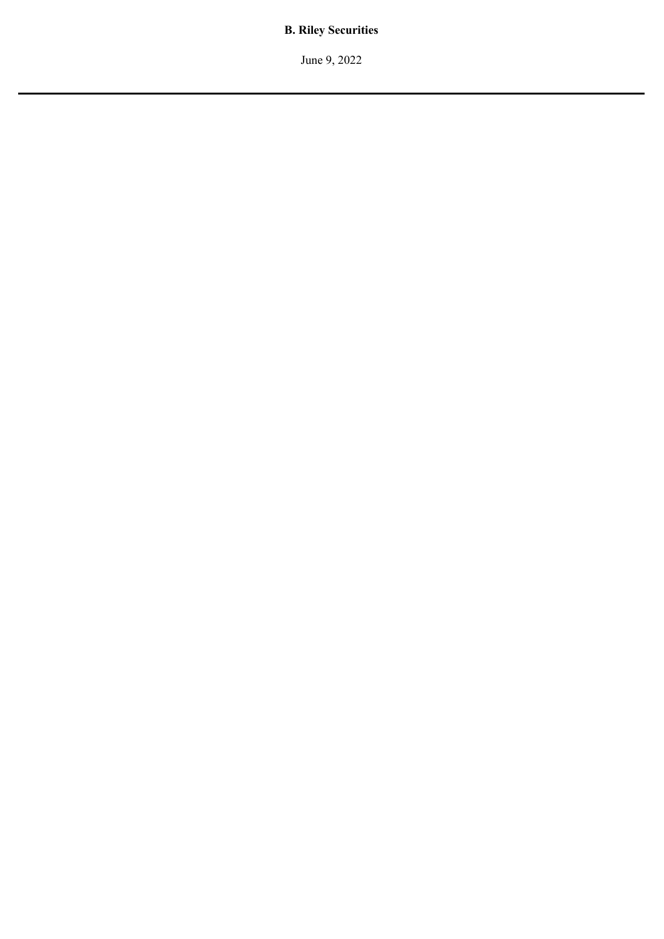# **B. Riley Securities**

June 9, 2022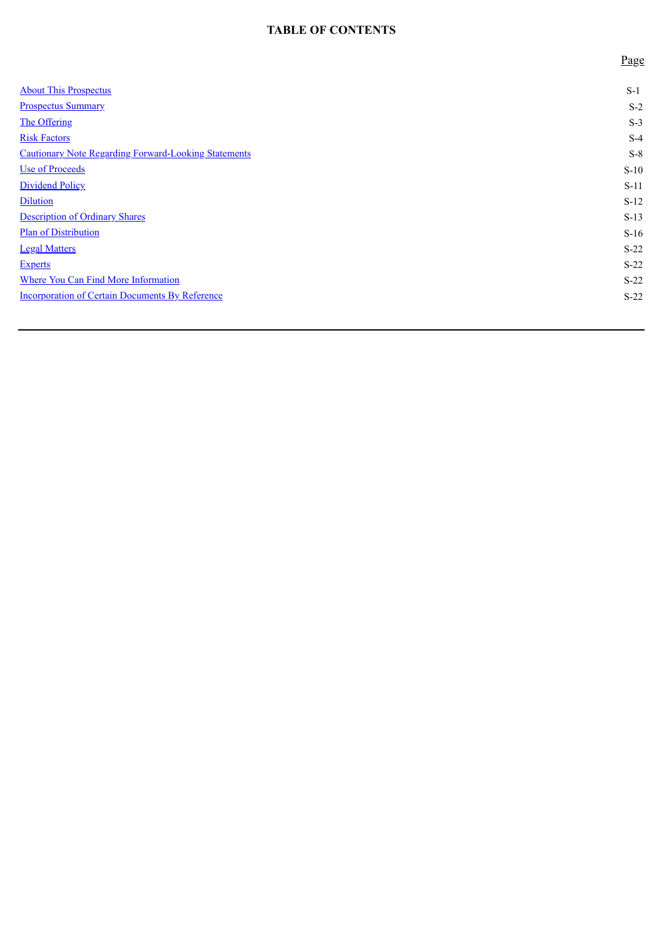# **TABLE OF CONTENTS**

|                                                             | <u>rage</u> |
|-------------------------------------------------------------|-------------|
| <b>About This Prospectus</b>                                | $S-1$       |
| <b>Prospectus Summary</b>                                   | $S-2$       |
| The Offering                                                | $S-3$       |
| <b>Risk Factors</b>                                         | $S-4$       |
| <b>Cautionary Note Regarding Forward-Looking Statements</b> | $S-8$       |
| <b>Use of Proceeds</b>                                      | $S-10$      |
| <b>Dividend Policy</b>                                      | $S-11$      |
| <b>Dilution</b>                                             | $S-12$      |
| <b>Description of Ordinary Shares</b>                       | $S-13$      |
| <b>Plan of Distribution</b>                                 | $S-16$      |
| <b>Legal Matters</b>                                        | $S-22$      |
| <b>Experts</b>                                              | $S-22$      |
| <b>Where You Can Find More Information</b>                  | $S-22$      |
| <b>Incorporation of Certain Documents By Reference</b>      | $S-22$      |
|                                                             |             |

 $D_{\alpha\alpha\alpha}$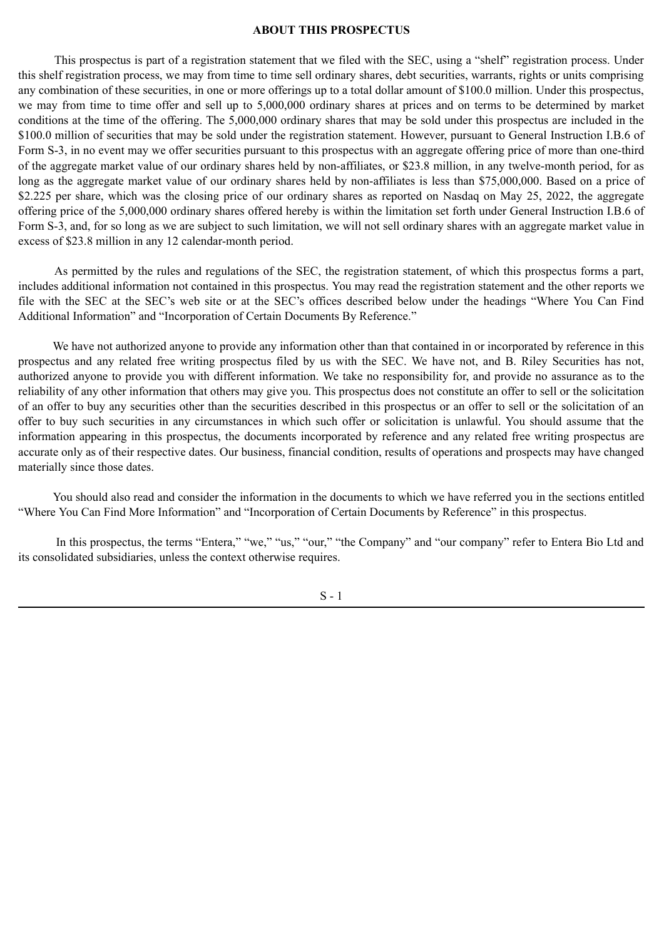#### **ABOUT THIS PROSPECTUS**

<span id="page-3-0"></span>This prospectus is part of a registration statement that we filed with the SEC, using a "shelf" registration process. Under this shelf registration process, we may from time to time sell ordinary shares, debt securities, warrants, rights or units comprising any combination of these securities, in one or more offerings up to a total dollar amount of \$100.0 million. Under this prospectus, we may from time to time offer and sell up to 5,000,000 ordinary shares at prices and on terms to be determined by market conditions at the time of the offering. The 5,000,000 ordinary shares that may be sold under this prospectus are included in the \$100.0 million of securities that may be sold under the registration statement. However, pursuant to General Instruction I.B.6 of Form S-3, in no event may we offer securities pursuant to this prospectus with an aggregate offering price of more than one-third of the aggregate market value of our ordinary shares held by non-affiliates, or \$23.8 million, in any twelve-month period, for as long as the aggregate market value of our ordinary shares held by non-affiliates is less than \$75,000,000. Based on a price of \$2.225 per share, which was the closing price of our ordinary shares as reported on Nasdaq on May 25, 2022, the aggregate offering price of the 5,000,000 ordinary shares offered hereby is within the limitation set forth under General Instruction I.B.6 of Form S-3, and, for so long as we are subject to such limitation, we will not sell ordinary shares with an aggregate market value in excess of \$23.8 million in any 12 calendar-month period.

As permitted by the rules and regulations of the SEC, the registration statement, of which this prospectus forms a part, includes additional information not contained in this prospectus. You may read the registration statement and the other reports we file with the SEC at the SEC's web site or at the SEC's offices described below under the headings "Where You Can Find Additional Information" and "Incorporation of Certain Documents By Reference."

 We have not authorized anyone to provide any information other than that contained in or incorporated by reference in this prospectus and any related free writing prospectus filed by us with the SEC. We have not, and B. Riley Securities has not, authorized anyone to provide you with different information. We take no responsibility for, and provide no assurance as to the reliability of any other information that others may give you. This prospectus does not constitute an offer to sell or the solicitation of an offer to buy any securities other than the securities described in this prospectus or an offer to sell or the solicitation of an offer to buy such securities in any circumstances in which such offer or solicitation is unlawful. You should assume that the information appearing in this prospectus, the documents incorporated by reference and any related free writing prospectus are accurate only as of their respective dates. Our business, financial condition, results of operations and prospects may have changed materially since those dates.

You should also read and consider the information in the documents to which we have referred you in the sections entitled "Where You Can Find More Information" and "Incorporation of Certain Documents by Reference" in this prospectus.

In this prospectus, the terms "Entera," "we," "us," "our," "the Company" and "our company" refer to Entera Bio Ltd and its consolidated subsidiaries, unless the context otherwise requires.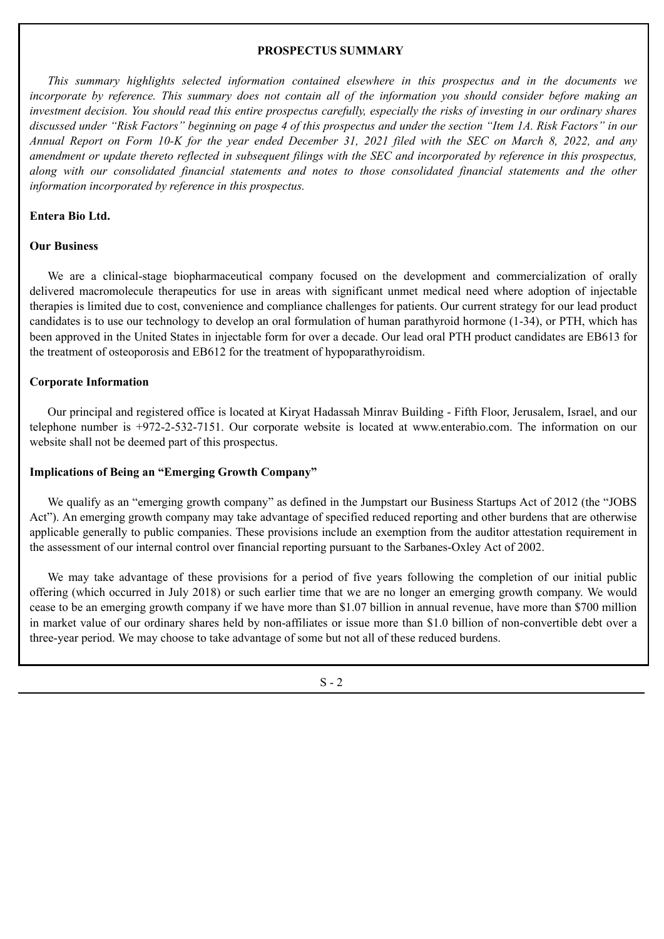## **PROSPECTUS SUMMARY**

<span id="page-4-0"></span>*This summary highlights selected information contained elsewhere in this prospectus and in the documents we incorporate by reference. This summary does not contain all of the information you should consider before making an investment decision. You should read this entire prospectus carefully, especially the risks of investing in our ordinary shares discussed under "Risk Factors" beginning on page 4 of this prospectus and under the section "Item 1A. Risk Factors" in our Annual Report on Form 10-K for the year ended December 31, 2021 filed with the SEC on March 8, 2022, and any amendment or update thereto reflected in subsequent filings with the SEC and incorporated by reference in this prospectus, along with our consolidated financial statements and notes to those consolidated financial statements and the other information incorporated by reference in this prospectus.*

# **Entera Bio Ltd.**

#### **Our Business**

We are a clinical-stage biopharmaceutical company focused on the development and commercialization of orally delivered macromolecule therapeutics for use in areas with significant unmet medical need where adoption of injectable therapies is limited due to cost, convenience and compliance challenges for patients. Our current strategy for our lead product candidates is to use our technology to develop an oral formulation of human parathyroid hormone (1-34), or PTH, which has been approved in the United States in injectable form for over a decade. Our lead oral PTH product candidates are EB613 for the treatment of osteoporosis and EB612 for the treatment of hypoparathyroidism.

#### **Corporate Information**

Our principal and registered office is located at Kiryat Hadassah Minrav Building - Fifth Floor, Jerusalem, Israel, and our telephone number is +972-2-532-7151. Our corporate website is located at www.enterabio.com. The information on our website shall not be deemed part of this prospectus.

## **Implications of Being an "Emerging Growth Company"**

We qualify as an "emerging growth company" as defined in the Jumpstart our Business Startups Act of 2012 (the "JOBS Act"). An emerging growth company may take advantage of specified reduced reporting and other burdens that are otherwise applicable generally to public companies. These provisions include an exemption from the auditor attestation requirement in the assessment of our internal control over financial reporting pursuant to the Sarbanes-Oxley Act of 2002.

We may take advantage of these provisions for a period of five years following the completion of our initial public offering (which occurred in July 2018) or such earlier time that we are no longer an emerging growth company. We would cease to be an emerging growth company if we have more than \$1.07 billion in annual revenue, have more than \$700 million in market value of our ordinary shares held by non-affiliates or issue more than \$1.0 billion of non-convertible debt over a three-year period. We may choose to take advantage of some but not all of these reduced burdens.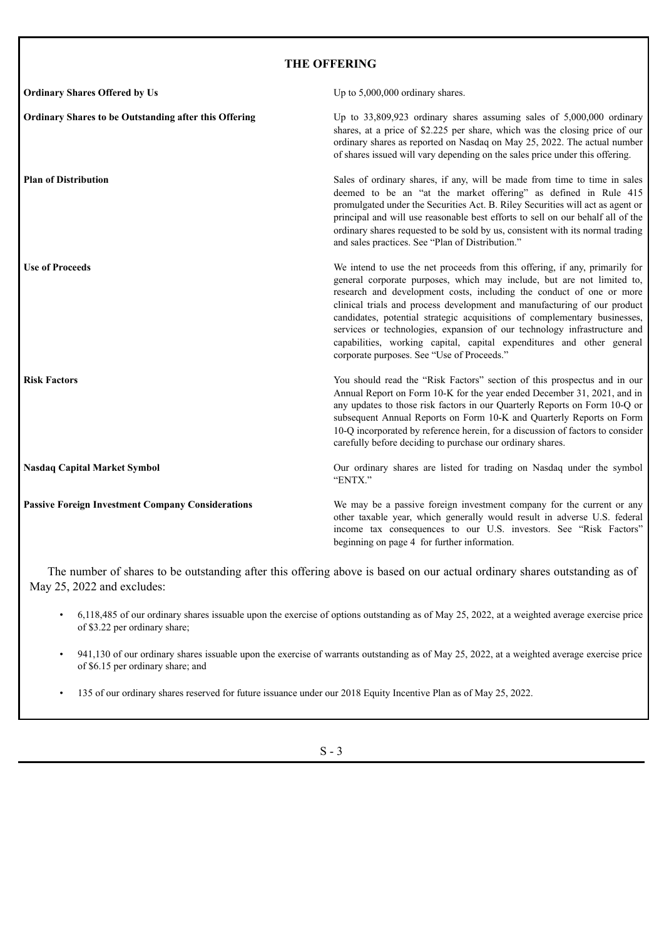# **THE OFFERING**

<span id="page-5-0"></span>

| <b>Ordinary Shares Offered by Us</b>                     | Up to $5,000,000$ ordinary shares.                                                                                                                                                                                                                                                                                                                                                                                                                                                                                                                                                        |
|----------------------------------------------------------|-------------------------------------------------------------------------------------------------------------------------------------------------------------------------------------------------------------------------------------------------------------------------------------------------------------------------------------------------------------------------------------------------------------------------------------------------------------------------------------------------------------------------------------------------------------------------------------------|
| Ordinary Shares to be Outstanding after this Offering    | Up to $33,809,923$ ordinary shares assuming sales of $5,000,000$ ordinary<br>shares, at a price of \$2.225 per share, which was the closing price of our<br>ordinary shares as reported on Nasdaq on May 25, 2022. The actual number<br>of shares issued will vary depending on the sales price under this offering.                                                                                                                                                                                                                                                                      |
| <b>Plan of Distribution</b>                              | Sales of ordinary shares, if any, will be made from time to time in sales<br>deemed to be an "at the market offering" as defined in Rule 415<br>promulgated under the Securities Act. B. Riley Securities will act as agent or<br>principal and will use reasonable best efforts to sell on our behalf all of the<br>ordinary shares requested to be sold by us, consistent with its normal trading<br>and sales practices. See "Plan of Distribution."                                                                                                                                   |
| <b>Use of Proceeds</b>                                   | We intend to use the net proceeds from this offering, if any, primarily for<br>general corporate purposes, which may include, but are not limited to,<br>research and development costs, including the conduct of one or more<br>clinical trials and process development and manufacturing of our product<br>candidates, potential strategic acquisitions of complementary businesses,<br>services or technologies, expansion of our technology infrastructure and<br>capabilities, working capital, capital expenditures and other general<br>corporate purposes. See "Use of Proceeds." |
| <b>Risk Factors</b>                                      | You should read the "Risk Factors" section of this prospectus and in our<br>Annual Report on Form 10-K for the year ended December 31, 2021, and in<br>any updates to those risk factors in our Quarterly Reports on Form 10-Q or<br>subsequent Annual Reports on Form 10-K and Quarterly Reports on Form<br>10-Q incorporated by reference herein, for a discussion of factors to consider<br>carefully before deciding to purchase our ordinary shares.                                                                                                                                 |
| <b>Nasdaq Capital Market Symbol</b>                      | Our ordinary shares are listed for trading on Nasdaq under the symbol<br>"ENTX."                                                                                                                                                                                                                                                                                                                                                                                                                                                                                                          |
| <b>Passive Foreign Investment Company Considerations</b> | We may be a passive foreign investment company for the current or any<br>other taxable year, which generally would result in adverse U.S. federal<br>income tax consequences to our U.S. investors. See "Risk Factors"<br>beginning on page 4 for further information.                                                                                                                                                                                                                                                                                                                    |

The number of shares to be outstanding after this offering above is based on our actual ordinary shares outstanding as of May 25, 2022 and excludes:

- 6,118,485 of our ordinary shares issuable upon the exercise of options outstanding as of May 25, 2022, at a weighted average exercise price of \$3.22 per ordinary share;
- 941,130 of our ordinary shares issuable upon the exercise of warrants outstanding as of May 25, 2022, at a weighted average exercise price of \$6.15 per ordinary share; and
- 135 of our ordinary shares reserved for future issuance under our 2018 Equity Incentive Plan as of May 25, 2022.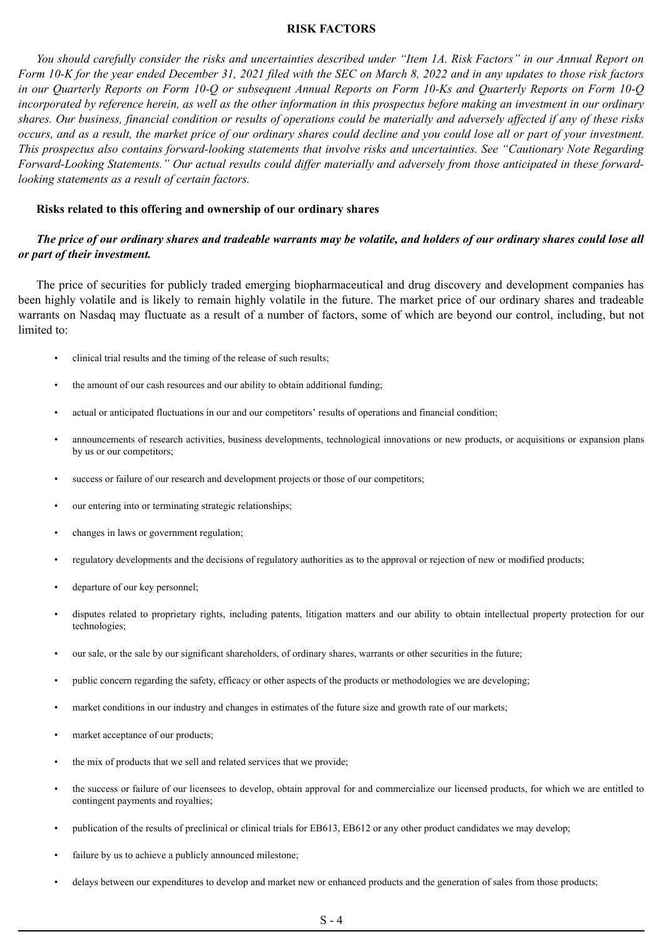#### **RISK FACTORS**

<span id="page-6-0"></span>*You should carefully consider the risks and uncertainties described under "Item 1A. Risk Factors" in our Annual Report on Form 10-K for the year ended December 31, 2021 filed with the SEC on March 8, 2022 and in any updates to those risk factors in our Quarterly Reports on Form 10-Q or subsequent Annual Reports on Form 10-Ks and Quarterly Reports on Form 10-Q incorporated by reference herein, as well as the other information in this prospectus before making an investment in our ordinary shares. Our business, financial condition or results of operations could be materially and adversely affected if any of these risks occurs, and as a result, the market price of our ordinary shares could decline and you could lose all or part of your investment. This prospectus also contains forward-looking statements that involve risks and uncertainties. See "Cautionary Note Regarding Forward-Looking Statements." Our actual results could differ materially and adversely from those anticipated in these forwardlooking statements as a result of certain factors.*

#### **Risks related to this offering and ownership of our ordinary shares**

# *The price of our ordinary shares and tradeable warrants may be volatile, and holders of our ordinary shares could lose all or part of their investment.*

The price of securities for publicly traded emerging biopharmaceutical and drug discovery and development companies has been highly volatile and is likely to remain highly volatile in the future. The market price of our ordinary shares and tradeable warrants on Nasdaq may fluctuate as a result of a number of factors, some of which are beyond our control, including, but not limited to:

- clinical trial results and the timing of the release of such results;
- the amount of our cash resources and our ability to obtain additional funding;
- actual or anticipated fluctuations in our and our competitors' results of operations and financial condition;
- announcements of research activities, business developments, technological innovations or new products, or acquisitions or expansion plans by us or our competitors;
- success or failure of our research and development projects or those of our competitors;
- our entering into or terminating strategic relationships;
- changes in laws or government regulation;
- regulatory developments and the decisions of regulatory authorities as to the approval or rejection of new or modified products;
- departure of our key personnel;
- disputes related to proprietary rights, including patents, litigation matters and our ability to obtain intellectual property protection for our technologies;
- our sale, or the sale by our significant shareholders, of ordinary shares, warrants or other securities in the future;
- public concern regarding the safety, efficacy or other aspects of the products or methodologies we are developing;
- market conditions in our industry and changes in estimates of the future size and growth rate of our markets;
- market acceptance of our products;
- the mix of products that we sell and related services that we provide;
- the success or failure of our licensees to develop, obtain approval for and commercialize our licensed products, for which we are entitled to contingent payments and royalties;
- publication of the results of preclinical or clinical trials for EB613, EB612 or any other product candidates we may develop;
- failure by us to achieve a publicly announced milestone;
- delays between our expenditures to develop and market new or enhanced products and the generation of sales from those products;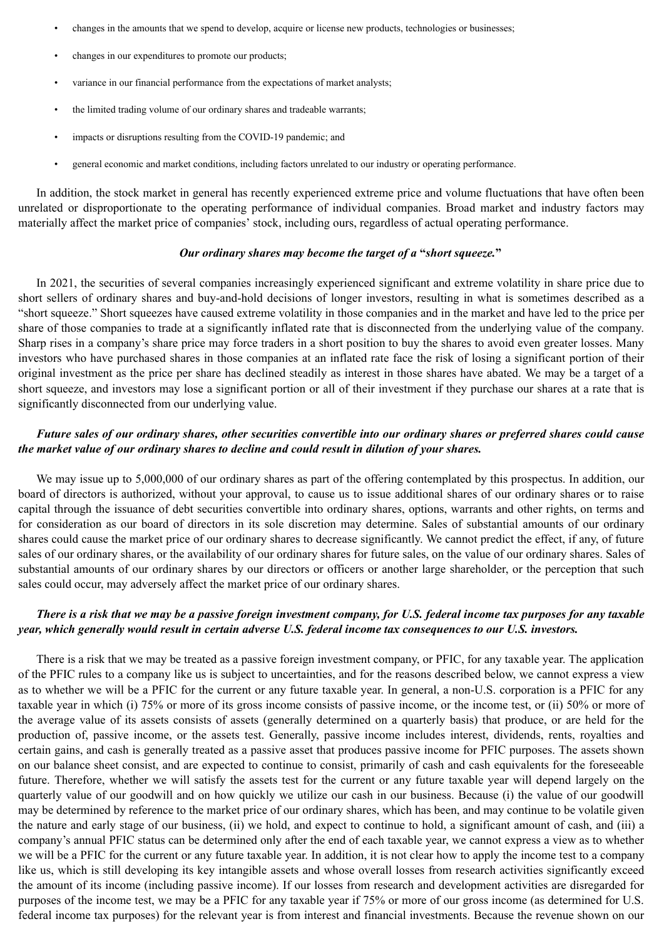- changes in the amounts that we spend to develop, acquire or license new products, technologies or businesses;
- changes in our expenditures to promote our products;
- variance in our financial performance from the expectations of market analysts;
- the limited trading volume of our ordinary shares and tradeable warrants;
- impacts or disruptions resulting from the COVID-19 pandemic; and
- general economic and market conditions, including factors unrelated to our industry or operating performance.

In addition, the stock market in general has recently experienced extreme price and volume fluctuations that have often been unrelated or disproportionate to the operating performance of individual companies. Broad market and industry factors may materially affect the market price of companies' stock, including ours, regardless of actual operating performance.

#### *Our ordinary shares may become the target of a* **"***short squeeze.***"**

In 2021, the securities of several companies increasingly experienced significant and extreme volatility in share price due to short sellers of ordinary shares and buy-and-hold decisions of longer investors, resulting in what is sometimes described as a "short squeeze." Short squeezes have caused extreme volatility in those companies and in the market and have led to the price per share of those companies to trade at a significantly inflated rate that is disconnected from the underlying value of the company. Sharp rises in a company's share price may force traders in a short position to buy the shares to avoid even greater losses. Many investors who have purchased shares in those companies at an inflated rate face the risk of losing a significant portion of their original investment as the price per share has declined steadily as interest in those shares have abated. We may be a target of a short squeeze, and investors may lose a significant portion or all of their investment if they purchase our shares at a rate that is significantly disconnected from our underlying value.

# *Future sales of our ordinary shares, other securities convertible into our ordinary shares or preferred shares could cause the market value of our ordinary shares to decline and could result in dilution of your shares.*

We may issue up to 5,000,000 of our ordinary shares as part of the offering contemplated by this prospectus. In addition, our board of directors is authorized, without your approval, to cause us to issue additional shares of our ordinary shares or to raise capital through the issuance of debt securities convertible into ordinary shares, options, warrants and other rights, on terms and for consideration as our board of directors in its sole discretion may determine. Sales of substantial amounts of our ordinary shares could cause the market price of our ordinary shares to decrease significantly. We cannot predict the effect, if any, of future sales of our ordinary shares, or the availability of our ordinary shares for future sales, on the value of our ordinary shares. Sales of substantial amounts of our ordinary shares by our directors or officers or another large shareholder, or the perception that such sales could occur, may adversely affect the market price of our ordinary shares.

# *There is a risk that we may be a passive foreign investment company, for U.S. federal income tax purposes for any taxable year, which generally would result in certain adverse U.S. federal income tax consequences to our U.S. investors.*

There is a risk that we may be treated as a passive foreign investment company, or PFIC, for any taxable year. The application of the PFIC rules to a company like us is subject to uncertainties, and for the reasons described below, we cannot express a view as to whether we will be a PFIC for the current or any future taxable year. In general, a non-U.S. corporation is a PFIC for any taxable year in which (i) 75% or more of its gross income consists of passive income, or the income test, or (ii) 50% or more of the average value of its assets consists of assets (generally determined on a quarterly basis) that produce, or are held for the production of, passive income, or the assets test. Generally, passive income includes interest, dividends, rents, royalties and certain gains, and cash is generally treated as a passive asset that produces passive income for PFIC purposes. The assets shown on our balance sheet consist, and are expected to continue to consist, primarily of cash and cash equivalents for the foreseeable future. Therefore, whether we will satisfy the assets test for the current or any future taxable year will depend largely on the quarterly value of our goodwill and on how quickly we utilize our cash in our business. Because (i) the value of our goodwill may be determined by reference to the market price of our ordinary shares, which has been, and may continue to be volatile given the nature and early stage of our business, (ii) we hold, and expect to continue to hold, a significant amount of cash, and (iii) a company's annual PFIC status can be determined only after the end of each taxable year, we cannot express a view as to whether we will be a PFIC for the current or any future taxable year. In addition, it is not clear how to apply the income test to a company like us, which is still developing its key intangible assets and whose overall losses from research activities significantly exceed the amount of its income (including passive income). If our losses from research and development activities are disregarded for purposes of the income test, we may be a PFIC for any taxable year if 75% or more of our gross income (as determined for U.S. federal income tax purposes) for the relevant year is from interest and financial investments. Because the revenue shown on our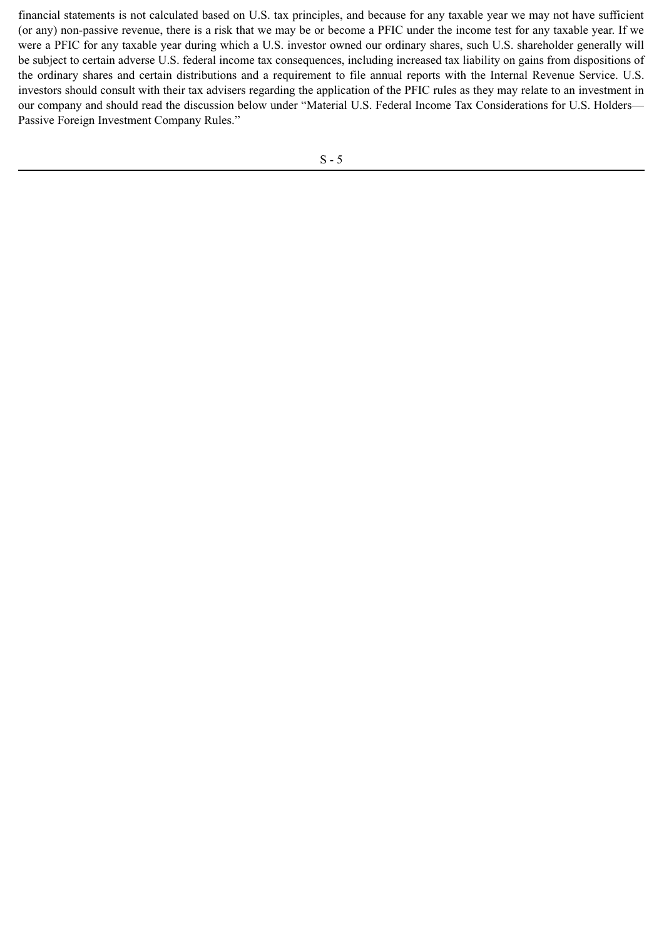financial statements is not calculated based on U.S. tax principles, and because for any taxable year we may not have sufficient (or any) non-passive revenue, there is a risk that we may be or become a PFIC under the income test for any taxable year. If we were a PFIC for any taxable year during which a U.S. investor owned our ordinary shares, such U.S. shareholder generally will be subject to certain adverse U.S. federal income tax consequences, including increased tax liability on gains from dispositions of the ordinary shares and certain distributions and a requirement to file annual reports with the Internal Revenue Service. U.S. investors should consult with their tax advisers regarding the application of the PFIC rules as they may relate to an investment in our company and should read the discussion below under "Material U.S. Federal Income Tax Considerations for U.S. Holders— Passive Foreign Investment Company Rules."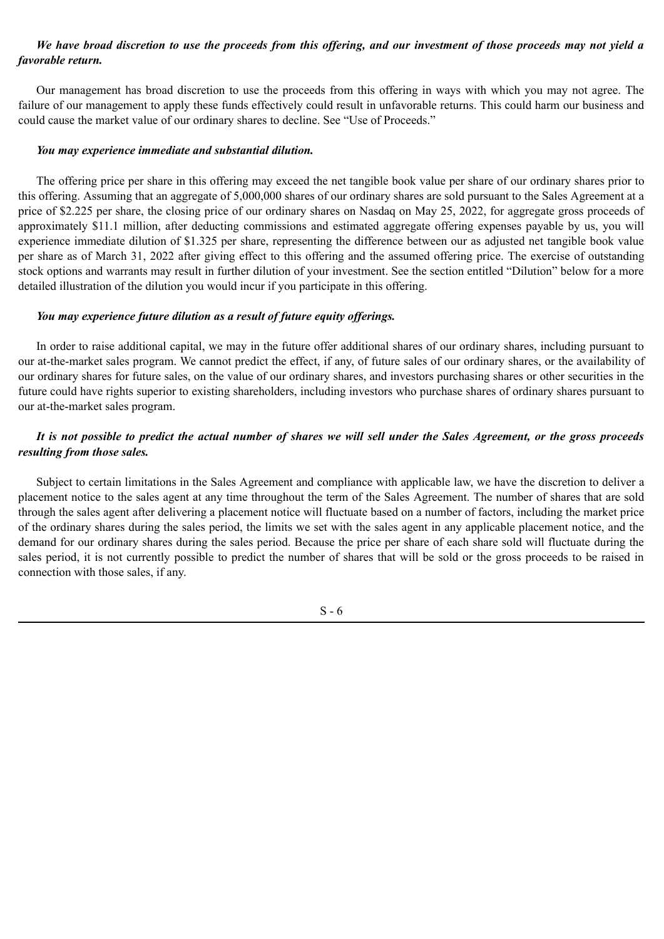# *We have broad discretion to use the proceeds from this offering, and our investment of those proceeds may not yield a favorable return.*

Our management has broad discretion to use the proceeds from this offering in ways with which you may not agree. The failure of our management to apply these funds effectively could result in unfavorable returns. This could harm our business and could cause the market value of our ordinary shares to decline. See "Use of Proceeds."

#### *You may experience immediate and substantial dilution.*

The offering price per share in this offering may exceed the net tangible book value per share of our ordinary shares prior to this offering. Assuming that an aggregate of 5,000,000 shares of our ordinary shares are sold pursuant to the Sales Agreement at a price of \$2.225 per share, the closing price of our ordinary shares on Nasdaq on May 25, 2022, for aggregate gross proceeds of approximately \$11.1 million, after deducting commissions and estimated aggregate offering expenses payable by us, you will experience immediate dilution of \$1.325 per share, representing the difference between our as adjusted net tangible book value per share as of March 31, 2022 after giving effect to this offering and the assumed offering price. The exercise of outstanding stock options and warrants may result in further dilution of your investment. See the section entitled "Dilution" below for a more detailed illustration of the dilution you would incur if you participate in this offering.

#### *You may experience future dilution as a result of future equity offerings.*

In order to raise additional capital, we may in the future offer additional shares of our ordinary shares, including pursuant to our at-the-market sales program. We cannot predict the effect, if any, of future sales of our ordinary shares, or the availability of our ordinary shares for future sales, on the value of our ordinary shares, and investors purchasing shares or other securities in the future could have rights superior to existing shareholders, including investors who purchase shares of ordinary shares pursuant to our at-the-market sales program.

# *It is not possible to predict the actual number of shares we will sell under the Sales Agreement, or the gross proceeds resulting from those sales.*

Subject to certain limitations in the Sales Agreement and compliance with applicable law, we have the discretion to deliver a placement notice to the sales agent at any time throughout the term of the Sales Agreement. The number of shares that are sold through the sales agent after delivering a placement notice will fluctuate based on a number of factors, including the market price of the ordinary shares during the sales period, the limits we set with the sales agent in any applicable placement notice, and the demand for our ordinary shares during the sales period. Because the price per share of each share sold will fluctuate during the sales period, it is not currently possible to predict the number of shares that will be sold or the gross proceeds to be raised in connection with those sales, if any.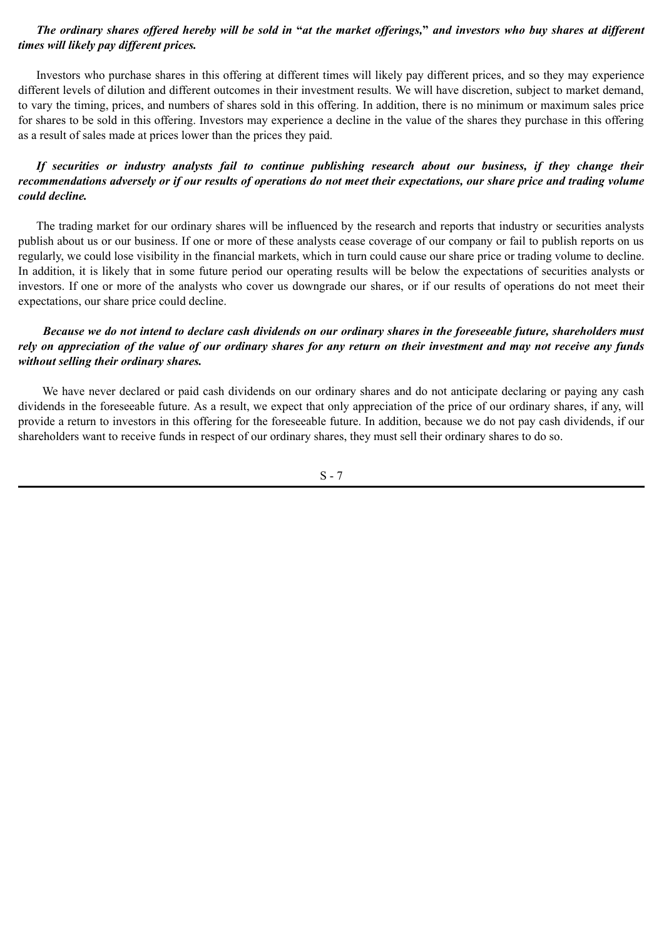# *The ordinary shares offered hereby will be sold in* **"***at the market offerings,***"** *and investors who buy shares at different times will likely pay different prices.*

Investors who purchase shares in this offering at different times will likely pay different prices, and so they may experience different levels of dilution and different outcomes in their investment results. We will have discretion, subject to market demand, to vary the timing, prices, and numbers of shares sold in this offering. In addition, there is no minimum or maximum sales price for shares to be sold in this offering. Investors may experience a decline in the value of the shares they purchase in this offering as a result of sales made at prices lower than the prices they paid.

# *If securities or industry analysts fail to continue publishing research about our business, if they change their recommendations adversely or if our results of operations do not meet their expectations, our share price and trading volume could decline.*

The trading market for our ordinary shares will be influenced by the research and reports that industry or securities analysts publish about us or our business. If one or more of these analysts cease coverage of our company or fail to publish reports on us regularly, we could lose visibility in the financial markets, which in turn could cause our share price or trading volume to decline. In addition, it is likely that in some future period our operating results will be below the expectations of securities analysts or investors. If one or more of the analysts who cover us downgrade our shares, or if our results of operations do not meet their expectations, our share price could decline.

# *Because we do not intend to declare cash dividends on our ordinary shares in the foreseeable future, shareholders must rely on appreciation of the value of our ordinary shares for any return on their investment and may not receive any funds without selling their ordinary shares.*

We have never declared or paid cash dividends on our ordinary shares and do not anticipate declaring or paying any cash dividends in the foreseeable future. As a result, we expect that only appreciation of the price of our ordinary shares, if any, will provide a return to investors in this offering for the foreseeable future. In addition, because we do not pay cash dividends, if our shareholders want to receive funds in respect of our ordinary shares, they must sell their ordinary shares to do so.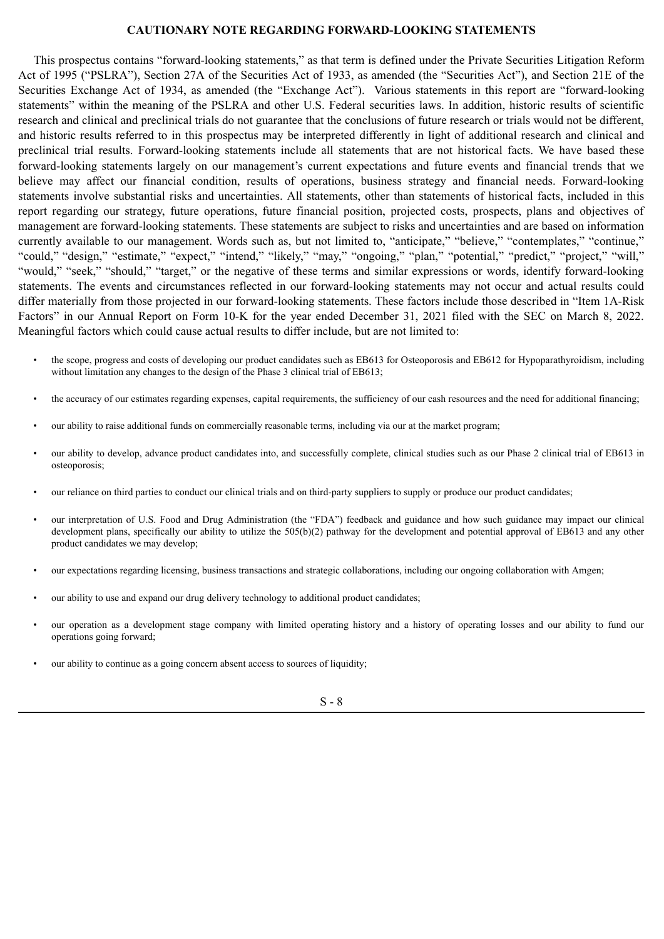#### **CAUTIONARY NOTE REGARDING FORWARD-LOOKING STATEMENTS**

<span id="page-11-0"></span>This prospectus contains "forward-looking statements," as that term is defined under the Private Securities Litigation Reform Act of 1995 ("PSLRA"), Section 27A of the Securities Act of 1933, as amended (the "Securities Act"), and Section 21E of the Securities Exchange Act of 1934, as amended (the "Exchange Act"). Various statements in this report are "forward-looking statements" within the meaning of the PSLRA and other U.S. Federal securities laws. In addition, historic results of scientific research and clinical and preclinical trials do not guarantee that the conclusions of future research or trials would not be different, and historic results referred to in this prospectus may be interpreted differently in light of additional research and clinical and preclinical trial results. Forward-looking statements include all statements that are not historical facts. We have based these forward-looking statements largely on our management's current expectations and future events and financial trends that we believe may affect our financial condition, results of operations, business strategy and financial needs. Forward-looking statements involve substantial risks and uncertainties. All statements, other than statements of historical facts, included in this report regarding our strategy, future operations, future financial position, projected costs, prospects, plans and objectives of management are forward-looking statements. These statements are subject to risks and uncertainties and are based on information currently available to our management. Words such as, but not limited to, "anticipate," "believe," "contemplates," "continue," "could," "design," "estimate," "expect," "intend," "likely," "may," "ongoing," "plan," "potential," "predict," "project," "will," "would," "seek," "should," "target," or the negative of these terms and similar expressions or words, identify forward-looking statements. The events and circumstances reflected in our forward-looking statements may not occur and actual results could differ materially from those projected in our forward-looking statements. These factors include those described in "Item 1A-Risk Factors" in our Annual Report on Form 10-K for the year ended December 31, 2021 filed with the SEC on March 8, 2022. Meaningful factors which could cause actual results to differ include, but are not limited to:

- the scope, progress and costs of developing our product candidates such as EB613 for Osteoporosis and EB612 for Hypoparathyroidism, including without limitation any changes to the design of the Phase 3 clinical trial of EB613;
- the accuracy of our estimates regarding expenses, capital requirements, the sufficiency of our cash resources and the need for additional financing;
- our ability to raise additional funds on commercially reasonable terms, including via our at the market program;
- our ability to develop, advance product candidates into, and successfully complete, clinical studies such as our Phase 2 clinical trial of EB613 in osteoporosis;
- our reliance on third parties to conduct our clinical trials and on third-party suppliers to supply or produce our product candidates;
- our interpretation of U.S. Food and Drug Administration (the "FDA") feedback and guidance and how such guidance may impact our clinical development plans, specifically our ability to utilize the 505(b)(2) pathway for the development and potential approval of EB613 and any other product candidates we may develop;
- our expectations regarding licensing, business transactions and strategic collaborations, including our ongoing collaboration with Amgen;
- our ability to use and expand our drug delivery technology to additional product candidates;
- our operation as a development stage company with limited operating history and a history of operating losses and our ability to fund our operations going forward;
- our ability to continue as a going concern absent access to sources of liquidity;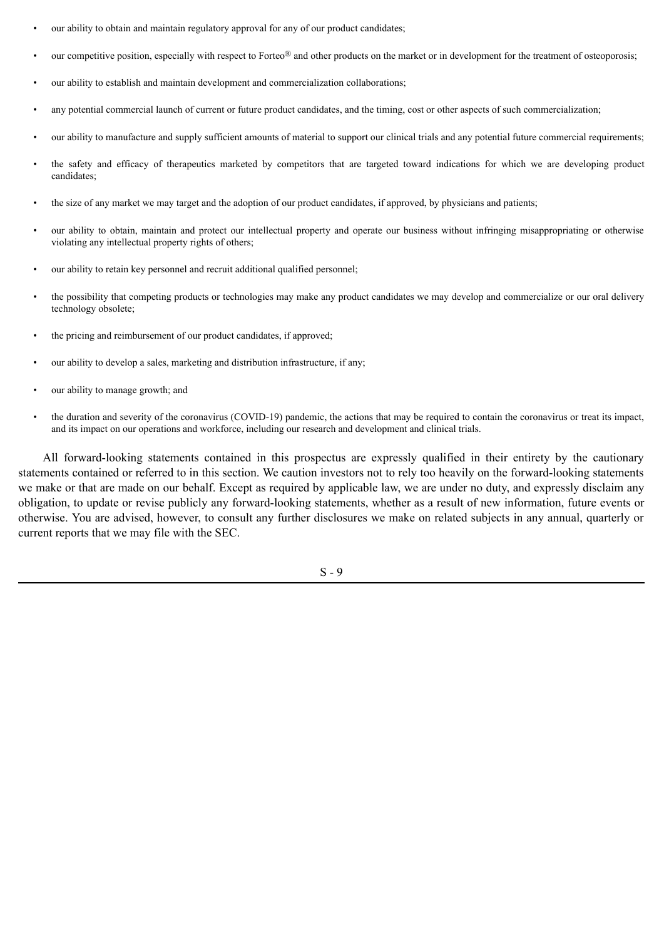- our ability to obtain and maintain regulatory approval for any of our product candidates;
- our competitive position, especially with respect to Forteo® and other products on the market or in development for the treatment of osteoporosis;
- our ability to establish and maintain development and commercialization collaborations;
- any potential commercial launch of current or future product candidates, and the timing, cost or other aspects of such commercialization;
- our ability to manufacture and supply sufficient amounts of material to support our clinical trials and any potential future commercial requirements;
- the safety and efficacy of therapeutics marketed by competitors that are targeted toward indications for which we are developing product candidates;
- the size of any market we may target and the adoption of our product candidates, if approved, by physicians and patients;
- our ability to obtain, maintain and protect our intellectual property and operate our business without infringing misappropriating or otherwise violating any intellectual property rights of others;
- our ability to retain key personnel and recruit additional qualified personnel;
- the possibility that competing products or technologies may make any product candidates we may develop and commercialize or our oral delivery technology obsolete;
- the pricing and reimbursement of our product candidates, if approved;
- our ability to develop a sales, marketing and distribution infrastructure, if any;
- our ability to manage growth; and
- the duration and severity of the coronavirus (COVID-19) pandemic, the actions that may be required to contain the coronavirus or treat its impact, and its impact on our operations and workforce, including our research and development and clinical trials.

All forward-looking statements contained in this prospectus are expressly qualified in their entirety by the cautionary statements contained or referred to in this section. We caution investors not to rely too heavily on the forward-looking statements we make or that are made on our behalf. Except as required by applicable law, we are under no duty, and expressly disclaim any obligation, to update or revise publicly any forward-looking statements, whether as a result of new information, future events or otherwise. You are advised, however, to consult any further disclosures we make on related subjects in any annual, quarterly or current reports that we may file with the SEC.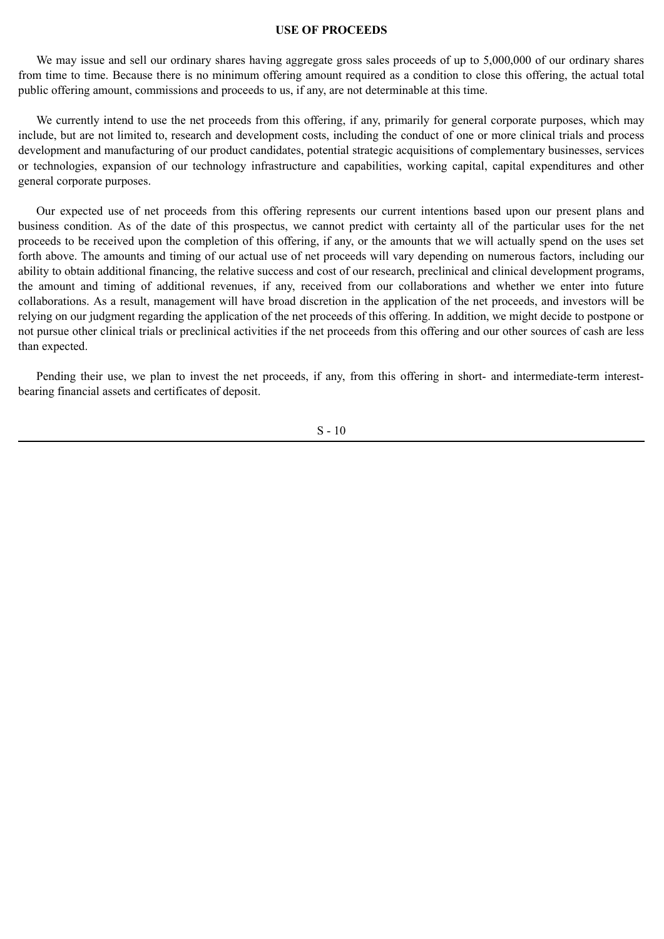#### **USE OF PROCEEDS**

<span id="page-13-0"></span>We may issue and sell our ordinary shares having aggregate gross sales proceeds of up to 5,000,000 of our ordinary shares from time to time. Because there is no minimum offering amount required as a condition to close this offering, the actual total public offering amount, commissions and proceeds to us, if any, are not determinable at this time.

We currently intend to use the net proceeds from this offering, if any, primarily for general corporate purposes, which may include, but are not limited to, research and development costs, including the conduct of one or more clinical trials and process development and manufacturing of our product candidates, potential strategic acquisitions of complementary businesses, services or technologies, expansion of our technology infrastructure and capabilities, working capital, capital expenditures and other general corporate purposes.

Our expected use of net proceeds from this offering represents our current intentions based upon our present plans and business condition. As of the date of this prospectus, we cannot predict with certainty all of the particular uses for the net proceeds to be received upon the completion of this offering, if any, or the amounts that we will actually spend on the uses set forth above. The amounts and timing of our actual use of net proceeds will vary depending on numerous factors, including our ability to obtain additional financing, the relative success and cost of our research, preclinical and clinical development programs, the amount and timing of additional revenues, if any, received from our collaborations and whether we enter into future collaborations. As a result, management will have broad discretion in the application of the net proceeds, and investors will be relying on our judgment regarding the application of the net proceeds of this offering. In addition, we might decide to postpone or not pursue other clinical trials or preclinical activities if the net proceeds from this offering and our other sources of cash are less than expected.

Pending their use, we plan to invest the net proceeds, if any, from this offering in short- and intermediate-term interestbearing financial assets and certificates of deposit.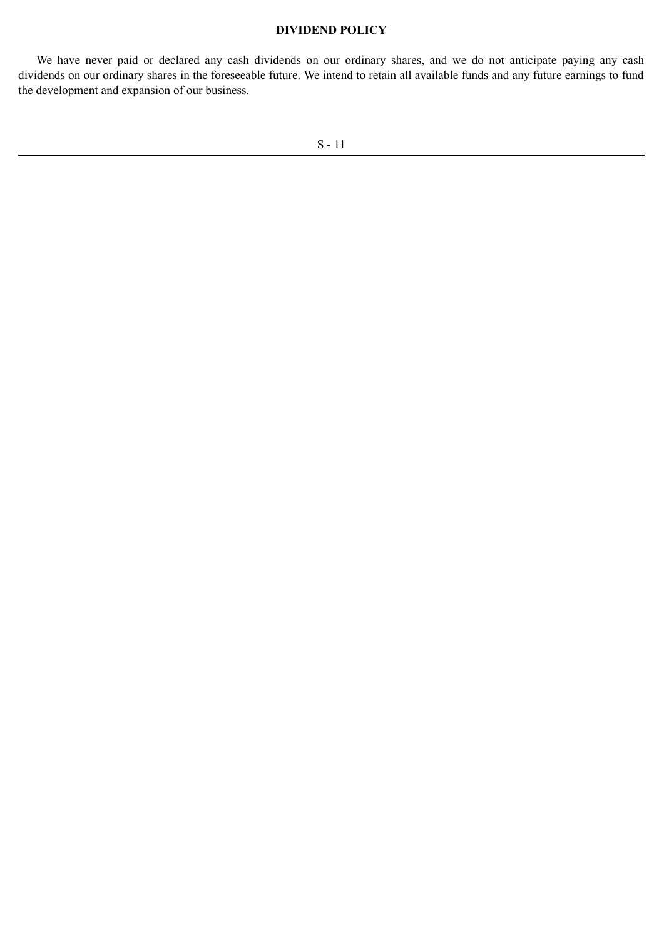# **DIVIDEND POLICY**

<span id="page-14-0"></span>We have never paid or declared any cash dividends on our ordinary shares, and we do not anticipate paying any cash dividends on our ordinary shares in the foreseeable future. We intend to retain all available funds and any future earnings to fund the development and expansion of our business.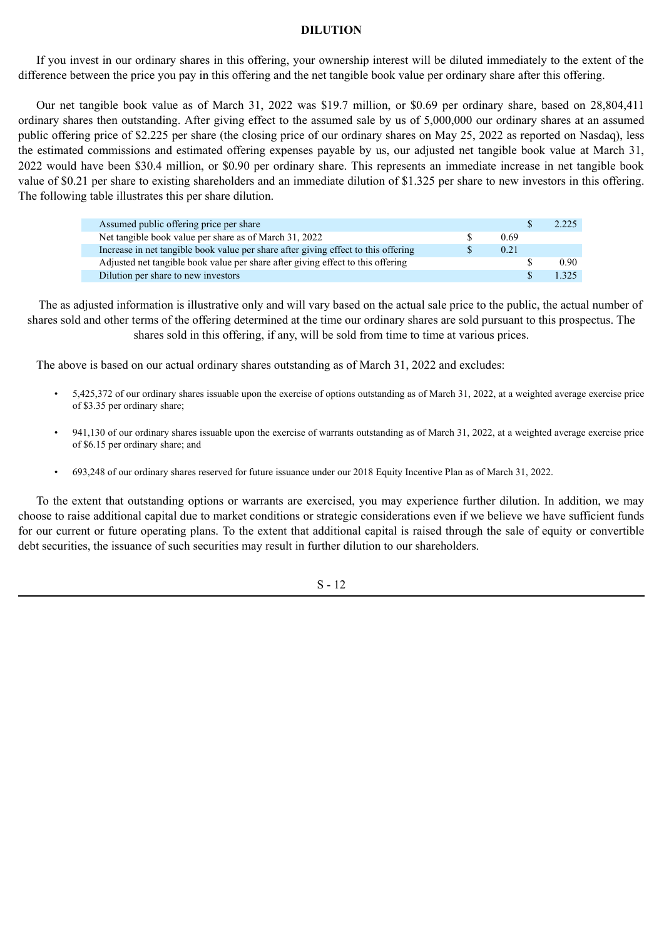#### **DILUTION**

<span id="page-15-0"></span>If you invest in our ordinary shares in this offering, your ownership interest will be diluted immediately to the extent of the difference between the price you pay in this offering and the net tangible book value per ordinary share after this offering.

Our net tangible book value as of March 31, 2022 was \$19.7 million, or \$0.69 per ordinary share, based on 28,804,411 ordinary shares then outstanding. After giving effect to the assumed sale by us of 5,000,000 our ordinary shares at an assumed public offering price of \$2.225 per share (the closing price of our ordinary shares on May 25, 2022 as reported on Nasdaq), less the estimated commissions and estimated offering expenses payable by us, our adjusted net tangible book value at March 31, 2022 would have been \$30.4 million, or \$0.90 per ordinary share. This represents an immediate increase in net tangible book value of \$0.21 per share to existing shareholders and an immediate dilution of \$1.325 per share to new investors in this offering. The following table illustrates this per share dilution.

| Assumed public offering price per share                                            |      | 2.225 |
|------------------------------------------------------------------------------------|------|-------|
| Net tangible book value per share as of March 31, 2022                             | 0.69 |       |
| Increase in net tangible book value per share after giving effect to this offering | 0.21 |       |
| Adjusted net tangible book value per share after giving effect to this offering    |      | 0.90  |
| Dilution per share to new investors                                                |      |       |

The as adjusted information is illustrative only and will vary based on the actual sale price to the public, the actual number of shares sold and other terms of the offering determined at the time our ordinary shares are sold pursuant to this prospectus. The shares sold in this offering, if any, will be sold from time to time at various prices.

The above is based on our actual ordinary shares outstanding as of March 31, 2022 and excludes:

- 5,425,372 of our ordinary shares issuable upon the exercise of options outstanding as of March 31, 2022, at a weighted average exercise price of \$3.35 per ordinary share;
- 941,130 of our ordinary shares issuable upon the exercise of warrants outstanding as of March 31, 2022, at a weighted average exercise price of \$6.15 per ordinary share; and
- 693,248 of our ordinary shares reserved for future issuance under our 2018 Equity Incentive Plan as of March 31, 2022.

To the extent that outstanding options or warrants are exercised, you may experience further dilution. In addition, we may choose to raise additional capital due to market conditions or strategic considerations even if we believe we have sufficient funds for our current or future operating plans. To the extent that additional capital is raised through the sale of equity or convertible debt securities, the issuance of such securities may result in further dilution to our shareholders.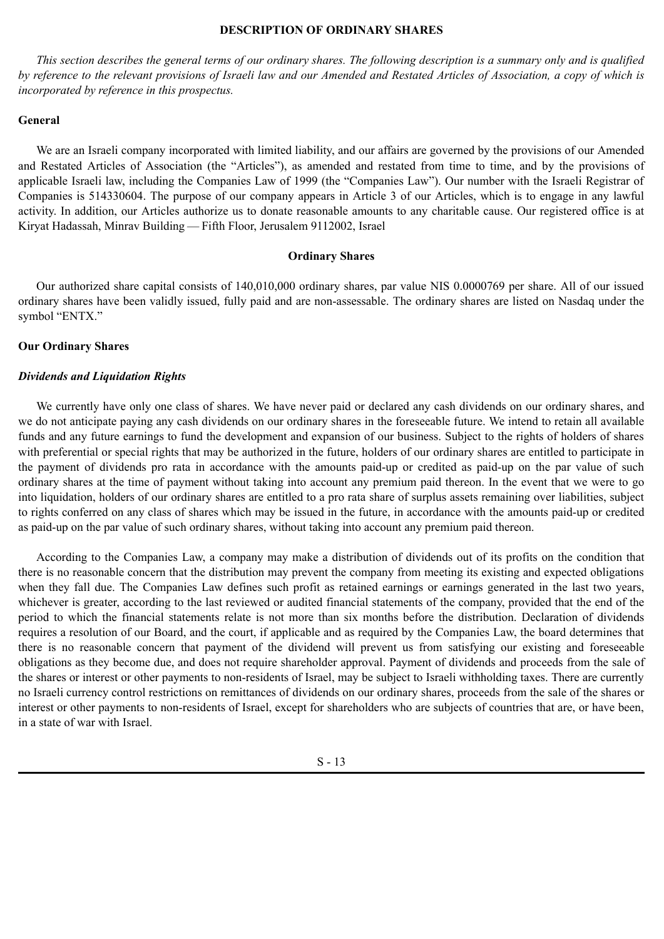## **DESCRIPTION OF ORDINARY SHARES**

<span id="page-16-0"></span>*This section describes the general terms of our ordinary shares. The following description is a summary only and is qualified by reference to the relevant provisions of Israeli law and our Amended and Restated Articles of Association, a copy of which is incorporated by reference in this prospectus.*

#### **General**

We are an Israeli company incorporated with limited liability, and our affairs are governed by the provisions of our Amended and Restated Articles of Association (the "Articles"), as amended and restated from time to time, and by the provisions of applicable Israeli law, including the Companies Law of 1999 (the "Companies Law"). Our number with the Israeli Registrar of Companies is 514330604. The purpose of our company appears in Article 3 of our Articles, which is to engage in any lawful activity. In addition, our Articles authorize us to donate reasonable amounts to any charitable cause. Our registered office is at Kiryat Hadassah, Minrav Building — Fifth Floor, Jerusalem 9112002, Israel

#### **Ordinary Shares**

Our authorized share capital consists of 140,010,000 ordinary shares, par value NIS 0.0000769 per share. All of our issued ordinary shares have been validly issued, fully paid and are non-assessable. The ordinary shares are listed on Nasdaq under the symbol "ENTX."

# **Our Ordinary Shares**

#### *Dividends and Liquidation Rights*

We currently have only one class of shares. We have never paid or declared any cash dividends on our ordinary shares, and we do not anticipate paying any cash dividends on our ordinary shares in the foreseeable future. We intend to retain all available funds and any future earnings to fund the development and expansion of our business. Subject to the rights of holders of shares with preferential or special rights that may be authorized in the future, holders of our ordinary shares are entitled to participate in the payment of dividends pro rata in accordance with the amounts paid-up or credited as paid-up on the par value of such ordinary shares at the time of payment without taking into account any premium paid thereon. In the event that we were to go into liquidation, holders of our ordinary shares are entitled to a pro rata share of surplus assets remaining over liabilities, subject to rights conferred on any class of shares which may be issued in the future, in accordance with the amounts paid-up or credited as paid-up on the par value of such ordinary shares, without taking into account any premium paid thereon.

According to the Companies Law, a company may make a distribution of dividends out of its profits on the condition that there is no reasonable concern that the distribution may prevent the company from meeting its existing and expected obligations when they fall due. The Companies Law defines such profit as retained earnings or earnings generated in the last two years, whichever is greater, according to the last reviewed or audited financial statements of the company, provided that the end of the period to which the financial statements relate is not more than six months before the distribution. Declaration of dividends requires a resolution of our Board, and the court, if applicable and as required by the Companies Law, the board determines that there is no reasonable concern that payment of the dividend will prevent us from satisfying our existing and foreseeable obligations as they become due, and does not require shareholder approval. Payment of dividends and proceeds from the sale of the shares or interest or other payments to non-residents of Israel, may be subject to Israeli withholding taxes. There are currently no Israeli currency control restrictions on remittances of dividends on our ordinary shares, proceeds from the sale of the shares or interest or other payments to non-residents of Israel, except for shareholders who are subjects of countries that are, or have been, in a state of war with Israel.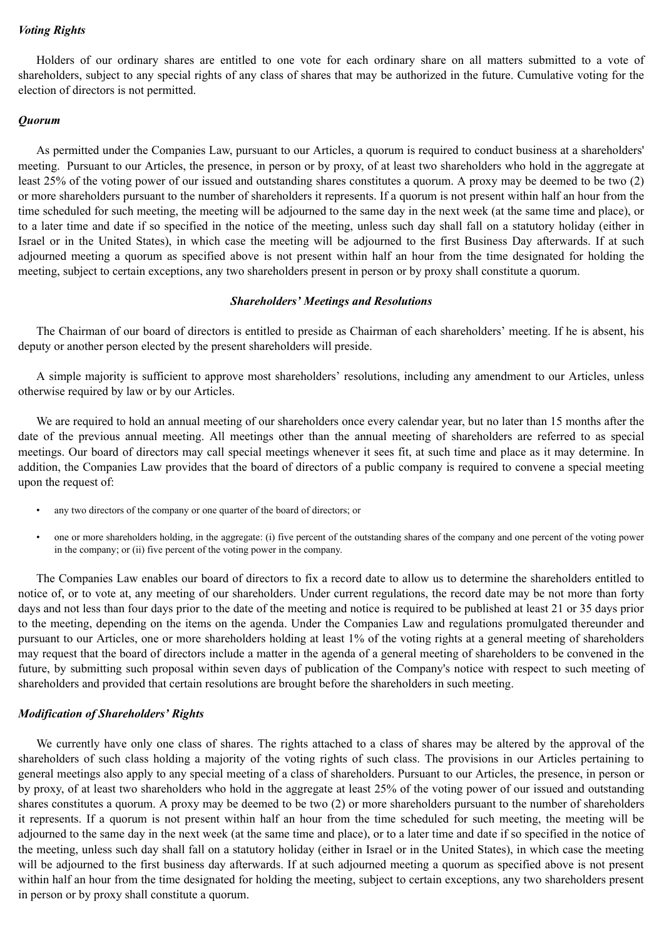#### *Voting Rights*

Holders of our ordinary shares are entitled to one vote for each ordinary share on all matters submitted to a vote of shareholders, subject to any special rights of any class of shares that may be authorized in the future. Cumulative voting for the election of directors is not permitted.

#### *Quorum*

As permitted under the Companies Law, pursuant to our Articles, a quorum is required to conduct business at a shareholders' meeting. Pursuant to our Articles, the presence, in person or by proxy, of at least two shareholders who hold in the aggregate at least 25% of the voting power of our issued and outstanding shares constitutes a quorum. A proxy may be deemed to be two (2) or more shareholders pursuant to the number of shareholders it represents. If a quorum is not present within half an hour from the time scheduled for such meeting, the meeting will be adjourned to the same day in the next week (at the same time and place), or to a later time and date if so specified in the notice of the meeting, unless such day shall fall on a statutory holiday (either in Israel or in the United States), in which case the meeting will be adjourned to the first Business Day afterwards. If at such adjourned meeting a quorum as specified above is not present within half an hour from the time designated for holding the meeting, subject to certain exceptions, any two shareholders present in person or by proxy shall constitute a quorum.

# *Shareholders' Meetings and Resolutions*

The Chairman of our board of directors is entitled to preside as Chairman of each shareholders' meeting. If he is absent, his deputy or another person elected by the present shareholders will preside.

A simple majority is sufficient to approve most shareholders' resolutions, including any amendment to our Articles, unless otherwise required by law or by our Articles.

We are required to hold an annual meeting of our shareholders once every calendar year, but no later than 15 months after the date of the previous annual meeting. All meetings other than the annual meeting of shareholders are referred to as special meetings. Our board of directors may call special meetings whenever it sees fit, at such time and place as it may determine. In addition, the Companies Law provides that the board of directors of a public company is required to convene a special meeting upon the request of:

- any two directors of the company or one quarter of the board of directors; or
- one or more shareholders holding, in the aggregate: (i) five percent of the outstanding shares of the company and one percent of the voting power in the company; or (ii) five percent of the voting power in the company.

The Companies Law enables our board of directors to fix a record date to allow us to determine the shareholders entitled to notice of, or to vote at, any meeting of our shareholders. Under current regulations, the record date may be not more than forty days and not less than four days prior to the date of the meeting and notice is required to be published at least 21 or 35 days prior to the meeting, depending on the items on the agenda. Under the Companies Law and regulations promulgated thereunder and pursuant to our Articles, one or more shareholders holding at least 1% of the voting rights at a general meeting of shareholders may request that the board of directors include a matter in the agenda of a general meeting of shareholders to be convened in the future, by submitting such proposal within seven days of publication of the Company's notice with respect to such meeting of shareholders and provided that certain resolutions are brought before the shareholders in such meeting.

#### *Modification of Shareholders' Rights*

We currently have only one class of shares. The rights attached to a class of shares may be altered by the approval of the shareholders of such class holding a majority of the voting rights of such class. The provisions in our Articles pertaining to general meetings also apply to any special meeting of a class of shareholders. Pursuant to our Articles, the presence, in person or by proxy, of at least two shareholders who hold in the aggregate at least 25% of the voting power of our issued and outstanding shares constitutes a quorum. A proxy may be deemed to be two (2) or more shareholders pursuant to the number of shareholders it represents. If a quorum is not present within half an hour from the time scheduled for such meeting, the meeting will be adjourned to the same day in the next week (at the same time and place), or to a later time and date if so specified in the notice of the meeting, unless such day shall fall on a statutory holiday (either in Israel or in the United States), in which case the meeting will be adjourned to the first business day afterwards. If at such adjourned meeting a quorum as specified above is not present within half an hour from the time designated for holding the meeting, subject to certain exceptions, any two shareholders present in person or by proxy shall constitute a quorum.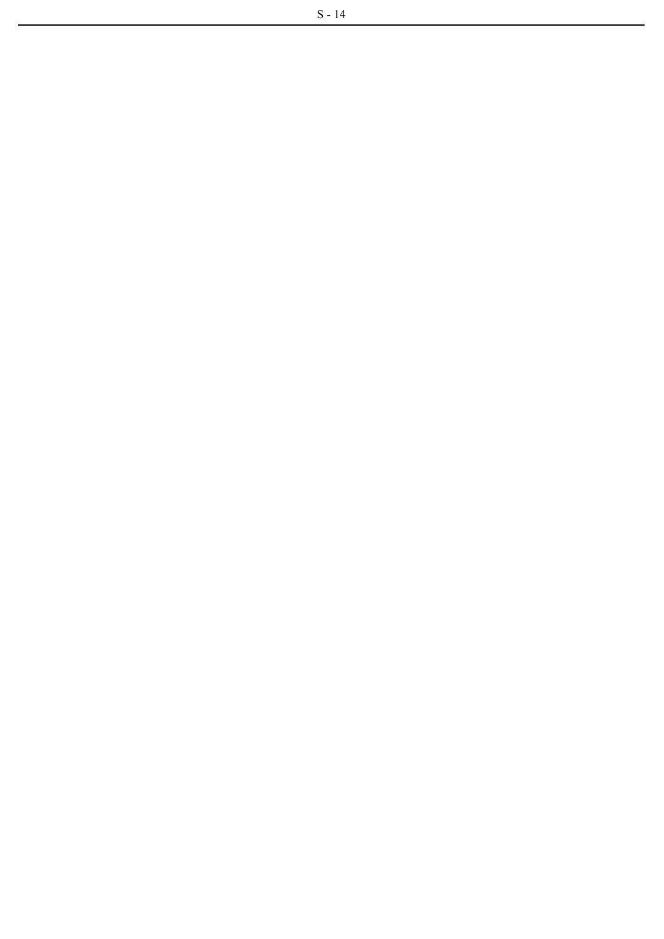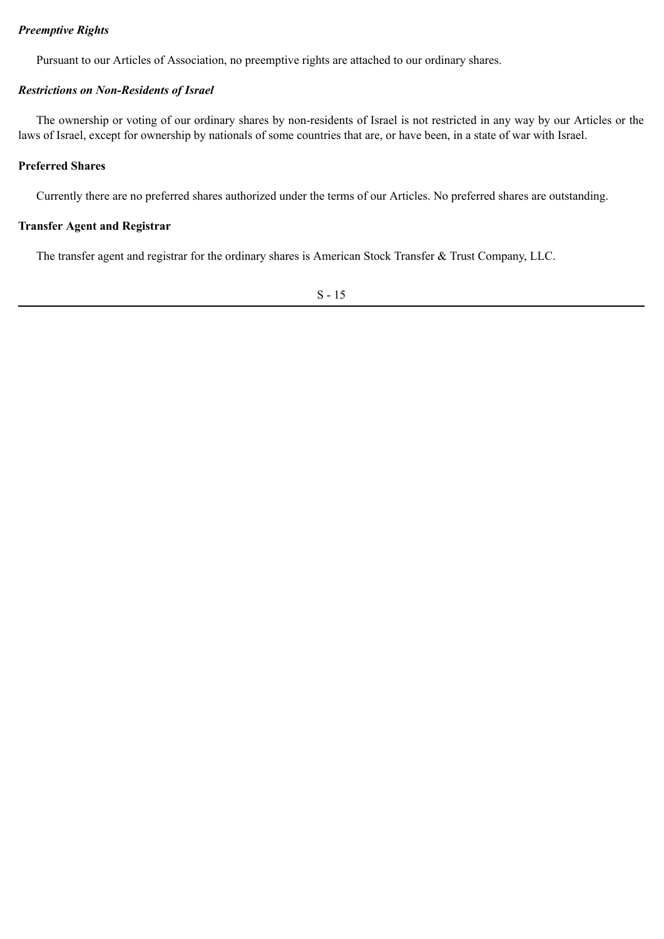# *Preemptive Rights*

Pursuant to our Articles of Association, no preemptive rights are attached to our ordinary shares.

## *Restrictions on Non-Residents of Israel*

The ownership or voting of our ordinary shares by non-residents of Israel is not restricted in any way by our Articles or the laws of Israel, except for ownership by nationals of some countries that are, or have been, in a state of war with Israel.

# **Preferred Shares**

Currently there are no preferred shares authorized under the terms of our Articles. No preferred shares are outstanding.

# **Transfer Agent and Registrar**

The transfer agent and registrar for the ordinary shares is American Stock Transfer & Trust Company, LLC.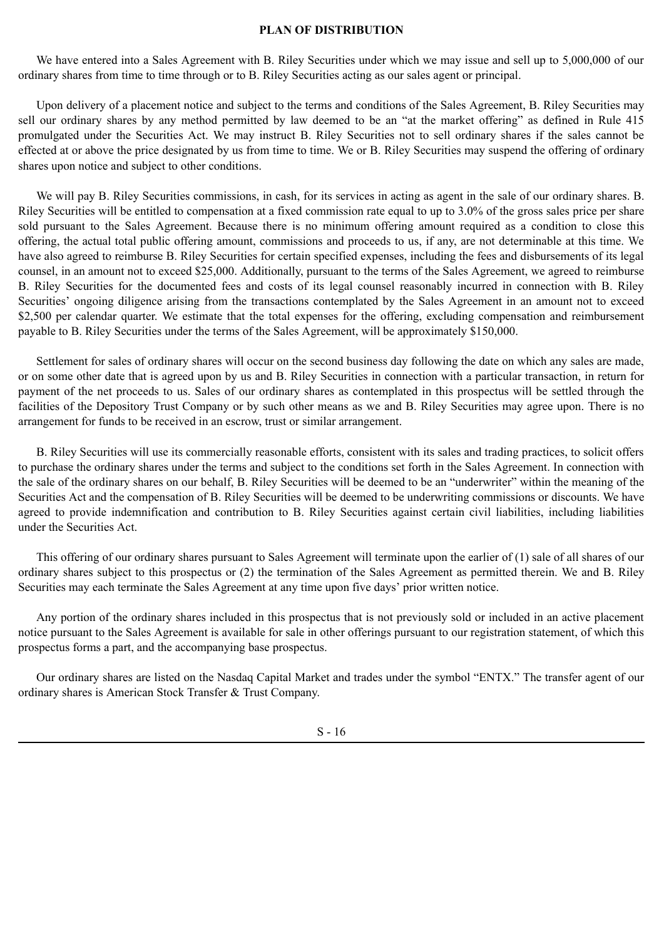## **PLAN OF DISTRIBUTION**

<span id="page-20-0"></span>We have entered into a Sales Agreement with B. Riley Securities under which we may issue and sell up to 5,000,000 of our ordinary shares from time to time through or to B. Riley Securities acting as our sales agent or principal.

Upon delivery of a placement notice and subject to the terms and conditions of the Sales Agreement, B. Riley Securities may sell our ordinary shares by any method permitted by law deemed to be an "at the market offering" as defined in Rule 415 promulgated under the Securities Act. We may instruct B. Riley Securities not to sell ordinary shares if the sales cannot be effected at or above the price designated by us from time to time. We or B. Riley Securities may suspend the offering of ordinary shares upon notice and subject to other conditions.

We will pay B. Riley Securities commissions, in cash, for its services in acting as agent in the sale of our ordinary shares. B. Riley Securities will be entitled to compensation at a fixed commission rate equal to up to 3.0% of the gross sales price per share sold pursuant to the Sales Agreement. Because there is no minimum offering amount required as a condition to close this offering, the actual total public offering amount, commissions and proceeds to us, if any, are not determinable at this time. We have also agreed to reimburse B. Riley Securities for certain specified expenses, including the fees and disbursements of its legal counsel, in an amount not to exceed \$25,000. Additionally, pursuant to the terms of the Sales Agreement, we agreed to reimburse B. Riley Securities for the documented fees and costs of its legal counsel reasonably incurred in connection with B. Riley Securities' ongoing diligence arising from the transactions contemplated by the Sales Agreement in an amount not to exceed \$2,500 per calendar quarter. We estimate that the total expenses for the offering, excluding compensation and reimbursement payable to B. Riley Securities under the terms of the Sales Agreement, will be approximately \$150,000.

Settlement for sales of ordinary shares will occur on the second business day following the date on which any sales are made, or on some other date that is agreed upon by us and B. Riley Securities in connection with a particular transaction, in return for payment of the net proceeds to us. Sales of our ordinary shares as contemplated in this prospectus will be settled through the facilities of the Depository Trust Company or by such other means as we and B. Riley Securities may agree upon. There is no arrangement for funds to be received in an escrow, trust or similar arrangement.

B. Riley Securities will use its commercially reasonable efforts, consistent with its sales and trading practices, to solicit offers to purchase the ordinary shares under the terms and subject to the conditions set forth in the Sales Agreement. In connection with the sale of the ordinary shares on our behalf, B. Riley Securities will be deemed to be an "underwriter" within the meaning of the Securities Act and the compensation of B. Riley Securities will be deemed to be underwriting commissions or discounts. We have agreed to provide indemnification and contribution to B. Riley Securities against certain civil liabilities, including liabilities under the Securities Act.

This offering of our ordinary shares pursuant to Sales Agreement will terminate upon the earlier of (1) sale of all shares of our ordinary shares subject to this prospectus or (2) the termination of the Sales Agreement as permitted therein. We and B. Riley Securities may each terminate the Sales Agreement at any time upon five days' prior written notice.

Any portion of the ordinary shares included in this prospectus that is not previously sold or included in an active placement notice pursuant to the Sales Agreement is available for sale in other offerings pursuant to our registration statement, of which this prospectus forms a part, and the accompanying base prospectus.

Our ordinary shares are listed on the Nasdaq Capital Market and trades under the symbol "ENTX." The transfer agent of our ordinary shares is American Stock Transfer & Trust Company.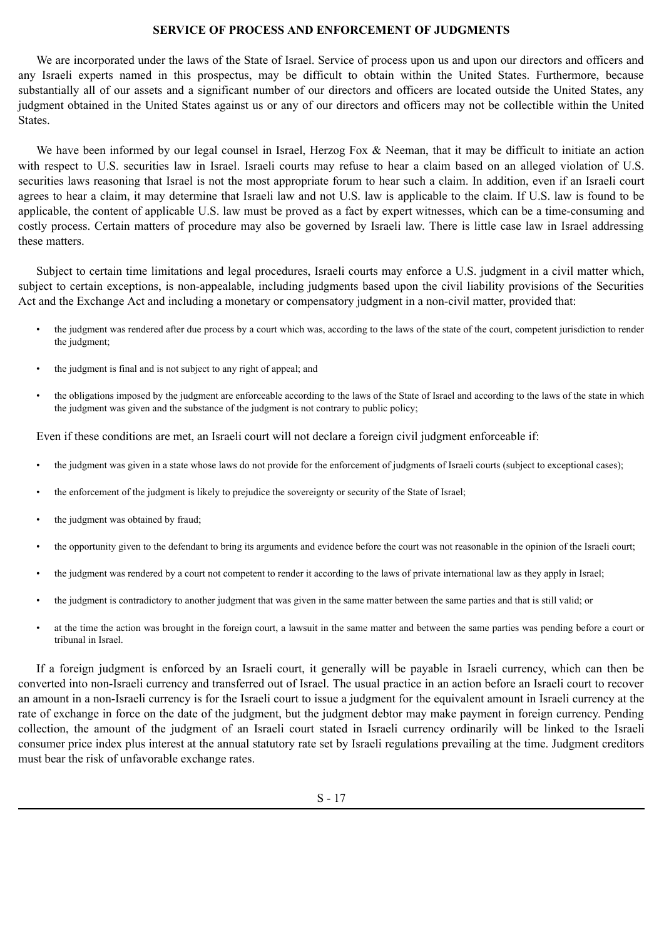## **SERVICE OF PROCESS AND ENFORCEMENT OF JUDGMENTS**

We are incorporated under the laws of the State of Israel. Service of process upon us and upon our directors and officers and any Israeli experts named in this prospectus, may be difficult to obtain within the United States. Furthermore, because substantially all of our assets and a significant number of our directors and officers are located outside the United States, any judgment obtained in the United States against us or any of our directors and officers may not be collectible within the United States.

We have been informed by our legal counsel in Israel, Herzog Fox & Neeman, that it may be difficult to initiate an action with respect to U.S. securities law in Israel. Israeli courts may refuse to hear a claim based on an alleged violation of U.S. securities laws reasoning that Israel is not the most appropriate forum to hear such a claim. In addition, even if an Israeli court agrees to hear a claim, it may determine that Israeli law and not U.S. law is applicable to the claim. If U.S. law is found to be applicable, the content of applicable U.S. law must be proved as a fact by expert witnesses, which can be a time-consuming and costly process. Certain matters of procedure may also be governed by Israeli law. There is little case law in Israel addressing these matters.

Subject to certain time limitations and legal procedures, Israeli courts may enforce a U.S. judgment in a civil matter which, subject to certain exceptions, is non-appealable, including judgments based upon the civil liability provisions of the Securities Act and the Exchange Act and including a monetary or compensatory judgment in a non-civil matter, provided that:

- the judgment was rendered after due process by a court which was, according to the laws of the state of the court, competent jurisdiction to render the judgment;
- the judgment is final and is not subject to any right of appeal; and
- the obligations imposed by the judgment are enforceable according to the laws of the State of Israel and according to the laws of the state in which the judgment was given and the substance of the judgment is not contrary to public policy;

Even if these conditions are met, an Israeli court will not declare a foreign civil judgment enforceable if:

- the judgment was given in a state whose laws do not provide for the enforcement of judgments of Israeli courts (subject to exceptional cases);
- the enforcement of the judgment is likely to prejudice the sovereignty or security of the State of Israel;
- the judgment was obtained by fraud;
- the opportunity given to the defendant to bring its arguments and evidence before the court was not reasonable in the opinion of the Israeli court;
- the judgment was rendered by a court not competent to render it according to the laws of private international law as they apply in Israel;
- the judgment is contradictory to another judgment that was given in the same matter between the same parties and that is still valid; or
- at the time the action was brought in the foreign court, a lawsuit in the same matter and between the same parties was pending before a court or tribunal in Israel.

If a foreign judgment is enforced by an Israeli court, it generally will be payable in Israeli currency, which can then be converted into non-Israeli currency and transferred out of Israel. The usual practice in an action before an Israeli court to recover an amount in a non-Israeli currency is for the Israeli court to issue a judgment for the equivalent amount in Israeli currency at the rate of exchange in force on the date of the judgment, but the judgment debtor may make payment in foreign currency. Pending collection, the amount of the judgment of an Israeli court stated in Israeli currency ordinarily will be linked to the Israeli consumer price index plus interest at the annual statutory rate set by Israeli regulations prevailing at the time. Judgment creditors must bear the risk of unfavorable exchange rates.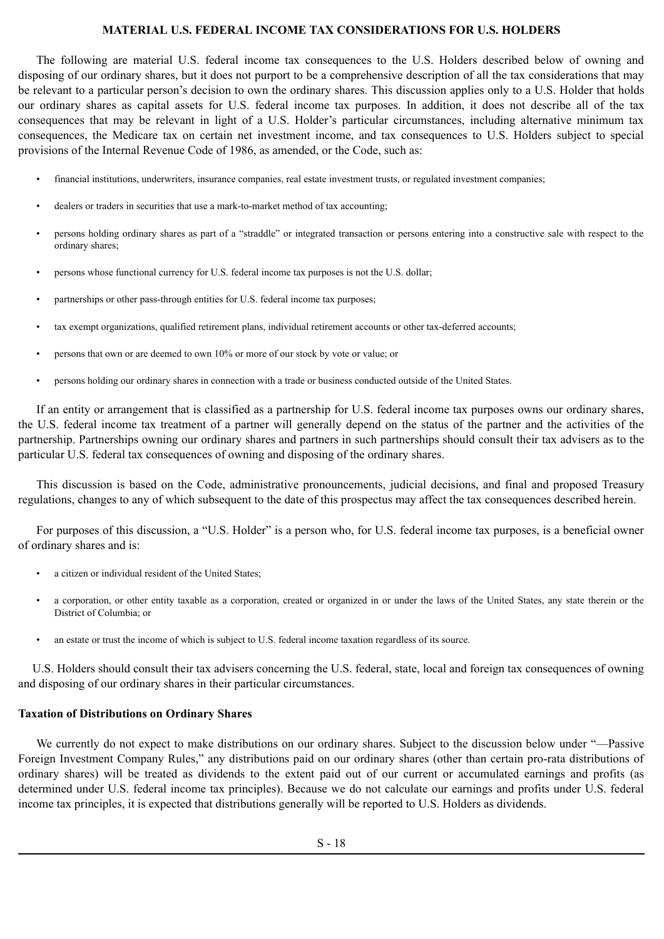# **MATERIAL U.S. FEDERAL INCOME TAX CONSIDERATIONS FOR U.S. HOLDERS**

The following are material U.S. federal income tax consequences to the U.S. Holders described below of owning and disposing of our ordinary shares, but it does not purport to be a comprehensive description of all the tax considerations that may be relevant to a particular person's decision to own the ordinary shares. This discussion applies only to a U.S. Holder that holds our ordinary shares as capital assets for U.S. federal income tax purposes. In addition, it does not describe all of the tax consequences that may be relevant in light of a U.S. Holder's particular circumstances, including alternative minimum tax consequences, the Medicare tax on certain net investment income, and tax consequences to U.S. Holders subject to special provisions of the Internal Revenue Code of 1986, as amended, or the Code, such as:

- financial institutions, underwriters, insurance companies, real estate investment trusts, or regulated investment companies;
- dealers or traders in securities that use a mark-to-market method of tax accounting;
- persons holding ordinary shares as part of a "straddle" or integrated transaction or persons entering into a constructive sale with respect to the ordinary shares;
- persons whose functional currency for U.S. federal income tax purposes is not the U.S. dollar;
- partnerships or other pass-through entities for U.S. federal income tax purposes;
- tax exempt organizations, qualified retirement plans, individual retirement accounts or other tax-deferred accounts;
- persons that own or are deemed to own 10% or more of our stock by vote or value; or
- persons holding our ordinary shares in connection with a trade or business conducted outside of the United States.

If an entity or arrangement that is classified as a partnership for U.S. federal income tax purposes owns our ordinary shares, the U.S. federal income tax treatment of a partner will generally depend on the status of the partner and the activities of the partnership. Partnerships owning our ordinary shares and partners in such partnerships should consult their tax advisers as to the particular U.S. federal tax consequences of owning and disposing of the ordinary shares.

This discussion is based on the Code, administrative pronouncements, judicial decisions, and final and proposed Treasury regulations, changes to any of which subsequent to the date of this prospectus may affect the tax consequences described herein.

For purposes of this discussion, a "U.S. Holder" is a person who, for U.S. federal income tax purposes, is a beneficial owner of ordinary shares and is:

- a citizen or individual resident of the United States;
- a corporation, or other entity taxable as a corporation, created or organized in or under the laws of the United States, any state therein or the District of Columbia; or
- an estate or trust the income of which is subject to U.S. federal income taxation regardless of its source.

U.S. Holders should consult their tax advisers concerning the U.S. federal, state, local and foreign tax consequences of owning and disposing of our ordinary shares in their particular circumstances.

# **Taxation of Distributions on Ordinary Shares**

We currently do not expect to make distributions on our ordinary shares. Subject to the discussion below under "—Passive Foreign Investment Company Rules," any distributions paid on our ordinary shares (other than certain pro-rata distributions of ordinary shares) will be treated as dividends to the extent paid out of our current or accumulated earnings and profits (as determined under U.S. federal income tax principles). Because we do not calculate our earnings and profits under U.S. federal income tax principles, it is expected that distributions generally will be reported to U.S. Holders as dividends.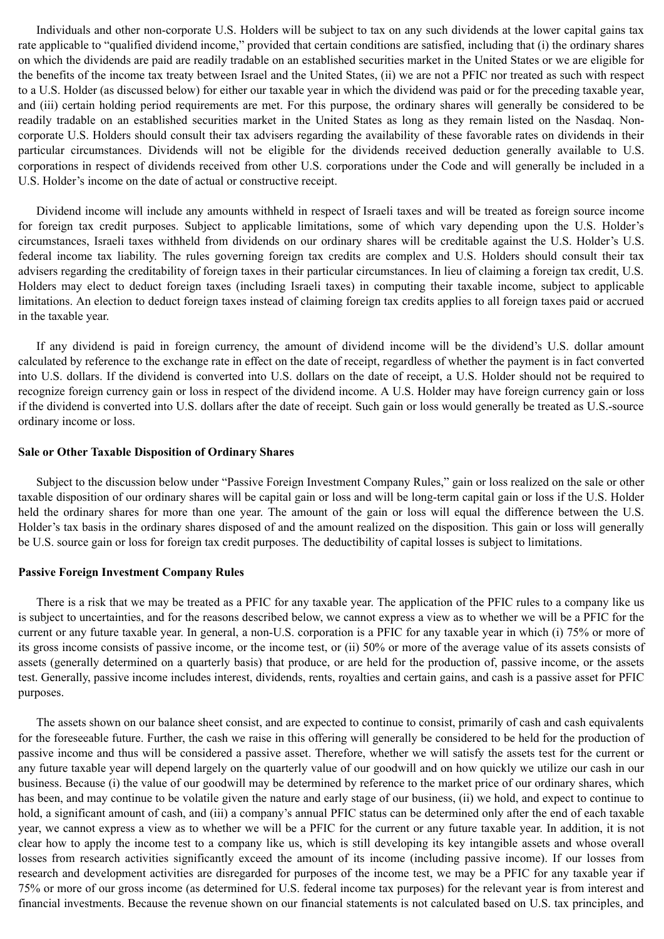Individuals and other non-corporate U.S. Holders will be subject to tax on any such dividends at the lower capital gains tax rate applicable to "qualified dividend income," provided that certain conditions are satisfied, including that (i) the ordinary shares on which the dividends are paid are readily tradable on an established securities market in the United States or we are eligible for the benefits of the income tax treaty between Israel and the United States, (ii) we are not a PFIC nor treated as such with respect to a U.S. Holder (as discussed below) for either our taxable year in which the dividend was paid or for the preceding taxable year, and (iii) certain holding period requirements are met. For this purpose, the ordinary shares will generally be considered to be readily tradable on an established securities market in the United States as long as they remain listed on the Nasdaq. Noncorporate U.S. Holders should consult their tax advisers regarding the availability of these favorable rates on dividends in their particular circumstances. Dividends will not be eligible for the dividends received deduction generally available to U.S. corporations in respect of dividends received from other U.S. corporations under the Code and will generally be included in a U.S. Holder's income on the date of actual or constructive receipt.

Dividend income will include any amounts withheld in respect of Israeli taxes and will be treated as foreign source income for foreign tax credit purposes. Subject to applicable limitations, some of which vary depending upon the U.S. Holder's circumstances, Israeli taxes withheld from dividends on our ordinary shares will be creditable against the U.S. Holder's U.S. federal income tax liability. The rules governing foreign tax credits are complex and U.S. Holders should consult their tax advisers regarding the creditability of foreign taxes in their particular circumstances. In lieu of claiming a foreign tax credit, U.S. Holders may elect to deduct foreign taxes (including Israeli taxes) in computing their taxable income, subject to applicable limitations. An election to deduct foreign taxes instead of claiming foreign tax credits applies to all foreign taxes paid or accrued in the taxable year.

If any dividend is paid in foreign currency, the amount of dividend income will be the dividend's U.S. dollar amount calculated by reference to the exchange rate in effect on the date of receipt, regardless of whether the payment is in fact converted into U.S. dollars. If the dividend is converted into U.S. dollars on the date of receipt, a U.S. Holder should not be required to recognize foreign currency gain or loss in respect of the dividend income. A U.S. Holder may have foreign currency gain or loss if the dividend is converted into U.S. dollars after the date of receipt. Such gain or loss would generally be treated as U.S.-source ordinary income or loss.

#### **Sale or Other Taxable Disposition of Ordinary Shares**

Subject to the discussion below under "Passive Foreign Investment Company Rules," gain or loss realized on the sale or other taxable disposition of our ordinary shares will be capital gain or loss and will be long-term capital gain or loss if the U.S. Holder held the ordinary shares for more than one year. The amount of the gain or loss will equal the difference between the U.S. Holder's tax basis in the ordinary shares disposed of and the amount realized on the disposition. This gain or loss will generally be U.S. source gain or loss for foreign tax credit purposes. The deductibility of capital losses is subject to limitations.

#### **Passive Foreign Investment Company Rules**

There is a risk that we may be treated as a PFIC for any taxable year. The application of the PFIC rules to a company like us is subject to uncertainties, and for the reasons described below, we cannot express a view as to whether we will be a PFIC for the current or any future taxable year. In general, a non-U.S. corporation is a PFIC for any taxable year in which (i) 75% or more of its gross income consists of passive income, or the income test, or (ii) 50% or more of the average value of its assets consists of assets (generally determined on a quarterly basis) that produce, or are held for the production of, passive income, or the assets test. Generally, passive income includes interest, dividends, rents, royalties and certain gains, and cash is a passive asset for PFIC purposes.

The assets shown on our balance sheet consist, and are expected to continue to consist, primarily of cash and cash equivalents for the foreseeable future. Further, the cash we raise in this offering will generally be considered to be held for the production of passive income and thus will be considered a passive asset. Therefore, whether we will satisfy the assets test for the current or any future taxable year will depend largely on the quarterly value of our goodwill and on how quickly we utilize our cash in our business. Because (i) the value of our goodwill may be determined by reference to the market price of our ordinary shares, which has been, and may continue to be volatile given the nature and early stage of our business, (ii) we hold, and expect to continue to hold, a significant amount of cash, and (iii) a company's annual PFIC status can be determined only after the end of each taxable year, we cannot express a view as to whether we will be a PFIC for the current or any future taxable year. In addition, it is not clear how to apply the income test to a company like us, which is still developing its key intangible assets and whose overall losses from research activities significantly exceed the amount of its income (including passive income). If our losses from research and development activities are disregarded for purposes of the income test, we may be a PFIC for any taxable year if 75% or more of our gross income (as determined for U.S. federal income tax purposes) for the relevant year is from interest and financial investments. Because the revenue shown on our financial statements is not calculated based on U.S. tax principles, and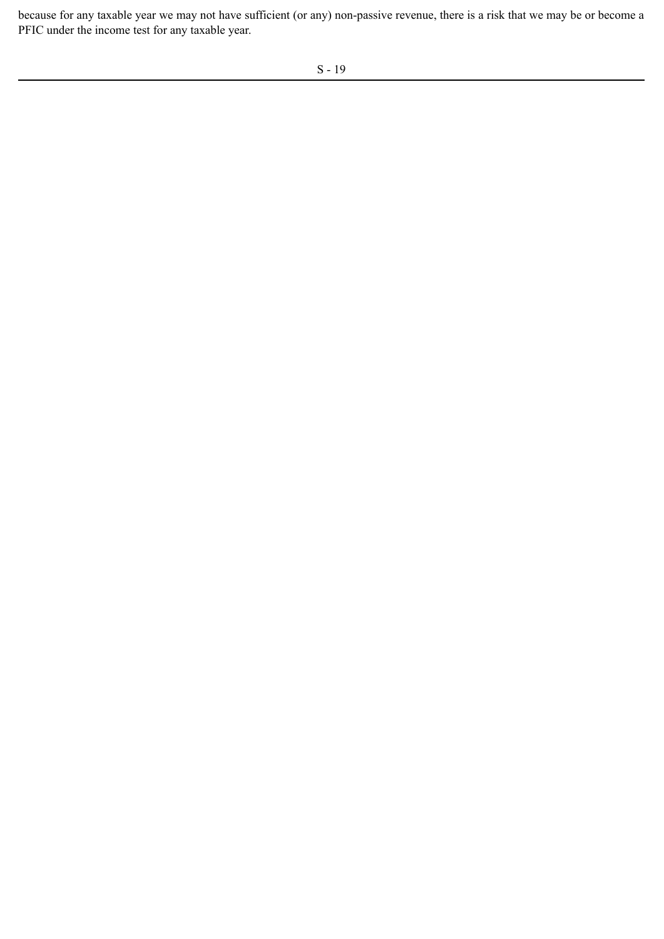because for any taxable year we may not have sufficient (or any) non-passive revenue, there is a risk that we may be or become a PFIC under the income test for any taxable year.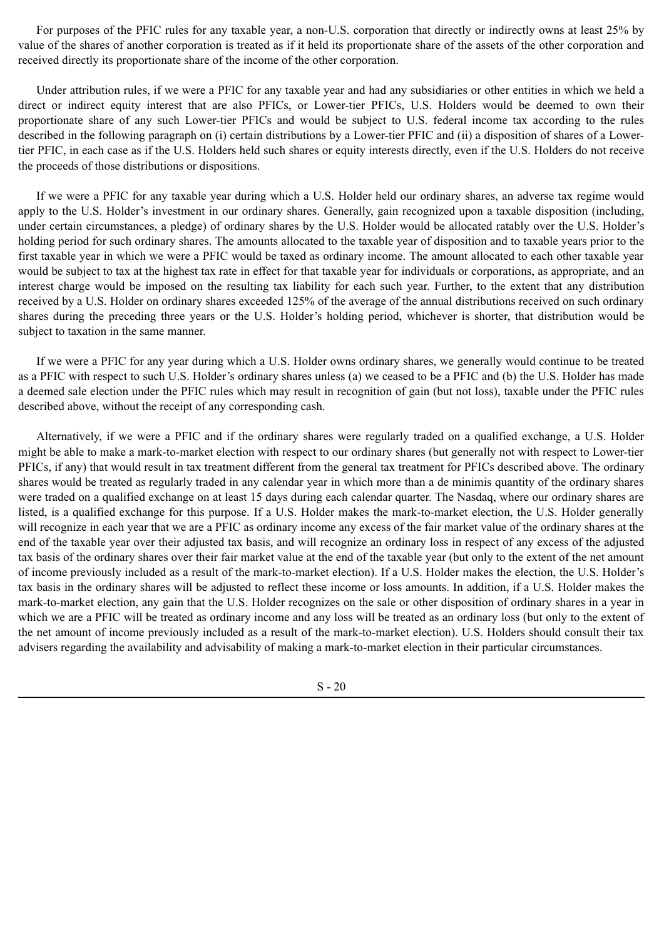For purposes of the PFIC rules for any taxable year, a non-U.S. corporation that directly or indirectly owns at least 25% by value of the shares of another corporation is treated as if it held its proportionate share of the assets of the other corporation and received directly its proportionate share of the income of the other corporation.

Under attribution rules, if we were a PFIC for any taxable year and had any subsidiaries or other entities in which we held a direct or indirect equity interest that are also PFICs, or Lower-tier PFICs, U.S. Holders would be deemed to own their proportionate share of any such Lower-tier PFICs and would be subject to U.S. federal income tax according to the rules described in the following paragraph on (i) certain distributions by a Lower-tier PFIC and (ii) a disposition of shares of a Lowertier PFIC, in each case as if the U.S. Holders held such shares or equity interests directly, even if the U.S. Holders do not receive the proceeds of those distributions or dispositions.

If we were a PFIC for any taxable year during which a U.S. Holder held our ordinary shares, an adverse tax regime would apply to the U.S. Holder's investment in our ordinary shares. Generally, gain recognized upon a taxable disposition (including, under certain circumstances, a pledge) of ordinary shares by the U.S. Holder would be allocated ratably over the U.S. Holder's holding period for such ordinary shares. The amounts allocated to the taxable year of disposition and to taxable years prior to the first taxable year in which we were a PFIC would be taxed as ordinary income. The amount allocated to each other taxable year would be subject to tax at the highest tax rate in effect for that taxable year for individuals or corporations, as appropriate, and an interest charge would be imposed on the resulting tax liability for each such year. Further, to the extent that any distribution received by a U.S. Holder on ordinary shares exceeded 125% of the average of the annual distributions received on such ordinary shares during the preceding three years or the U.S. Holder's holding period, whichever is shorter, that distribution would be subject to taxation in the same manner.

If we were a PFIC for any year during which a U.S. Holder owns ordinary shares, we generally would continue to be treated as a PFIC with respect to such U.S. Holder's ordinary shares unless (a) we ceased to be a PFIC and (b) the U.S. Holder has made a deemed sale election under the PFIC rules which may result in recognition of gain (but not loss), taxable under the PFIC rules described above, without the receipt of any corresponding cash.

Alternatively, if we were a PFIC and if the ordinary shares were regularly traded on a qualified exchange, a U.S. Holder might be able to make a mark-to-market election with respect to our ordinary shares (but generally not with respect to Lower-tier PFICs, if any) that would result in tax treatment different from the general tax treatment for PFICs described above. The ordinary shares would be treated as regularly traded in any calendar year in which more than a de minimis quantity of the ordinary shares were traded on a qualified exchange on at least 15 days during each calendar quarter. The Nasdaq, where our ordinary shares are listed, is a qualified exchange for this purpose. If a U.S. Holder makes the mark-to-market election, the U.S. Holder generally will recognize in each year that we are a PFIC as ordinary income any excess of the fair market value of the ordinary shares at the end of the taxable year over their adjusted tax basis, and will recognize an ordinary loss in respect of any excess of the adjusted tax basis of the ordinary shares over their fair market value at the end of the taxable year (but only to the extent of the net amount of income previously included as a result of the mark-to-market election). If a U.S. Holder makes the election, the U.S. Holder's tax basis in the ordinary shares will be adjusted to reflect these income or loss amounts. In addition, if a U.S. Holder makes the mark-to-market election, any gain that the U.S. Holder recognizes on the sale or other disposition of ordinary shares in a year in which we are a PFIC will be treated as ordinary income and any loss will be treated as an ordinary loss (but only to the extent of the net amount of income previously included as a result of the mark-to-market election). U.S. Holders should consult their tax advisers regarding the availability and advisability of making a mark-to-market election in their particular circumstances.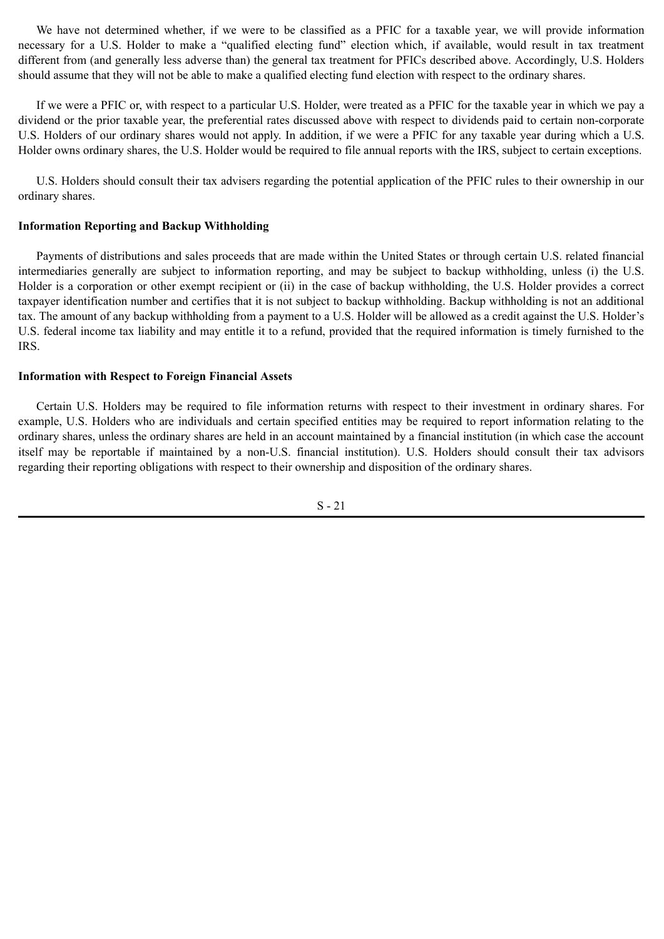We have not determined whether, if we were to be classified as a PFIC for a taxable year, we will provide information necessary for a U.S. Holder to make a "qualified electing fund" election which, if available, would result in tax treatment different from (and generally less adverse than) the general tax treatment for PFICs described above. Accordingly, U.S. Holders should assume that they will not be able to make a qualified electing fund election with respect to the ordinary shares.

If we were a PFIC or, with respect to a particular U.S. Holder, were treated as a PFIC for the taxable year in which we pay a dividend or the prior taxable year, the preferential rates discussed above with respect to dividends paid to certain non-corporate U.S. Holders of our ordinary shares would not apply. In addition, if we were a PFIC for any taxable year during which a U.S. Holder owns ordinary shares, the U.S. Holder would be required to file annual reports with the IRS, subject to certain exceptions.

U.S. Holders should consult their tax advisers regarding the potential application of the PFIC rules to their ownership in our ordinary shares.

#### **Information Reporting and Backup Withholding**

Payments of distributions and sales proceeds that are made within the United States or through certain U.S. related financial intermediaries generally are subject to information reporting, and may be subject to backup withholding, unless (i) the U.S. Holder is a corporation or other exempt recipient or (ii) in the case of backup withholding, the U.S. Holder provides a correct taxpayer identification number and certifies that it is not subject to backup withholding. Backup withholding is not an additional tax. The amount of any backup withholding from a payment to a U.S. Holder will be allowed as a credit against the U.S. Holder's U.S. federal income tax liability and may entitle it to a refund, provided that the required information is timely furnished to the IRS.

#### **Information with Respect to Foreign Financial Assets**

Certain U.S. Holders may be required to file information returns with respect to their investment in ordinary shares. For example, U.S. Holders who are individuals and certain specified entities may be required to report information relating to the ordinary shares, unless the ordinary shares are held in an account maintained by a financial institution (in which case the account itself may be reportable if maintained by a non-U.S. financial institution). U.S. Holders should consult their tax advisors regarding their reporting obligations with respect to their ownership and disposition of the ordinary shares.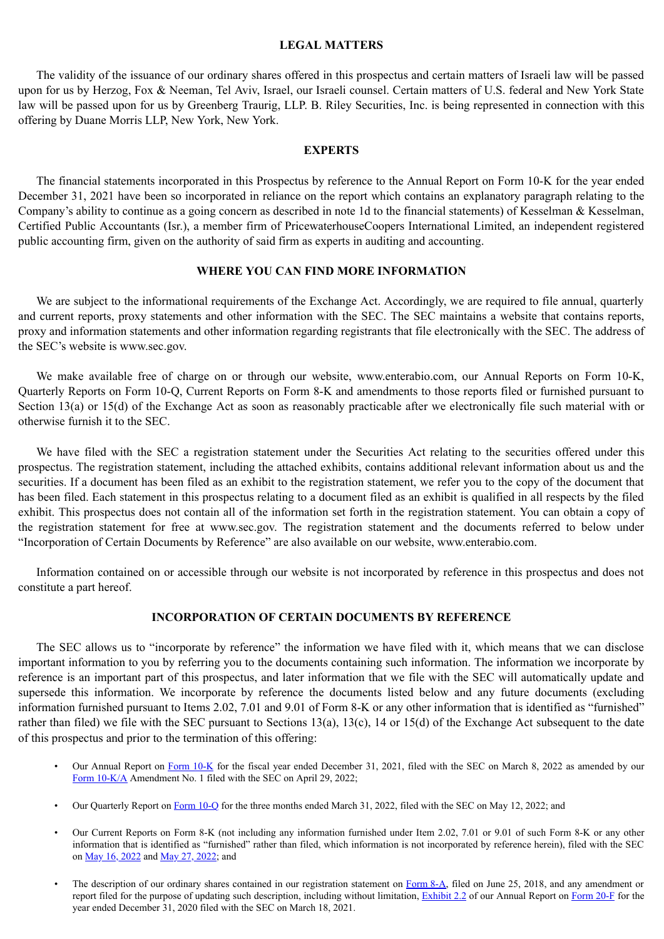## **LEGAL MATTERS**

<span id="page-27-0"></span>The validity of the issuance of our ordinary shares offered in this prospectus and certain matters of Israeli law will be passed upon for us by Herzog, Fox & Neeman, Tel Aviv, Israel, our Israeli counsel. Certain matters of U.S. federal and New York State law will be passed upon for us by Greenberg Traurig, LLP. B. Riley Securities, Inc. is being represented in connection with this offering by Duane Morris LLP, New York, New York.

#### **EXPERTS**

The financial statements incorporated in this Prospectus by reference to the Annual Report on Form 10-K for the year ended December 31, 2021 have been so incorporated in reliance on the report which contains an explanatory paragraph relating to the Company's ability to continue as a going concern as described in note 1d to the financial statements) of Kesselman & Kesselman, Certified Public Accountants (Isr.), a member firm of PricewaterhouseCoopers International Limited, an independent registered public accounting firm, given on the authority of said firm as experts in auditing and accounting.

#### **WHERE YOU CAN FIND MORE INFORMATION**

We are subject to the informational requirements of the Exchange Act. Accordingly, we are required to file annual, quarterly and current reports, proxy statements and other information with the SEC. The SEC maintains a website that contains reports, proxy and information statements and other information regarding registrants that file electronically with the SEC. The address of the SEC's website is www.sec.gov.

We make available free of charge on or through our website, www.enterabio.com, our Annual Reports on Form 10-K, Quarterly Reports on Form 10-Q, Current Reports on Form 8-K and amendments to those reports filed or furnished pursuant to Section 13(a) or 15(d) of the Exchange Act as soon as reasonably practicable after we electronically file such material with or otherwise furnish it to the SEC.

We have filed with the SEC a registration statement under the Securities Act relating to the securities offered under this prospectus. The registration statement, including the attached exhibits, contains additional relevant information about us and the securities. If a document has been filed as an exhibit to the registration statement, we refer you to the copy of the document that has been filed. Each statement in this prospectus relating to a document filed as an exhibit is qualified in all respects by the filed exhibit. This prospectus does not contain all of the information set forth in the registration statement. You can obtain a copy of the registration statement for free at www.sec.gov. The registration statement and the documents referred to below under "Incorporation of Certain Documents by Reference" are also available on our website, www.enterabio.com.

Information contained on or accessible through our website is not incorporated by reference in this prospectus and does not constitute a part hereof.

## **INCORPORATION OF CERTAIN DOCUMENTS BY REFERENCE**

<span id="page-27-1"></span>The SEC allows us to "incorporate by reference" the information we have filed with it, which means that we can disclose important information to you by referring you to the documents containing such information. The information we incorporate by reference is an important part of this prospectus, and later information that we file with the SEC will automatically update and supersede this information. We incorporate by reference the documents listed below and any future documents (excluding information furnished pursuant to Items 2.02, 7.01 and 9.01 of Form 8-K or any other information that is identified as "furnished" rather than filed) we file with the SEC pursuant to Sections 13(a), 13(c), 14 or 15(d) of the Exchange Act subsequent to the date of this prospectus and prior to the termination of this offering:

- Our Annual Report on [Form](https://www.sec.gov/Archives/edgar/data/1638097/000117891322000994/0001178913-22-000994-index.htm) 10-K for the fiscal year ended December 31, 2021, filed with the SEC on March 8, 2022 as amended by our Form [10-K/A](https://www.sec.gov/Archives/edgar/data/1638097/000117891322001706/0001178913-22-001706-index.htm) Amendment No. 1 filed with the SEC on April 29, 2022;
- Our Quarterly Report on [Form](https://www.sec.gov/Archives/edgar/data/1638097/000117891322001917/0001178913-22-001917-index.htm) 10-Q for the three months ended March 31, 2022, filed with the SEC on May 12, 2022; and
- Our Current Reports on Form 8-K (not including any information furnished under Item 2.02, 7.01 or 9.01 of such Form 8-K or any other information that is identified as "furnished" rather than filed, which information is not incorporated by reference herein), filed with the SEC on <u>May 16, [2022](https://www.sec.gov/Archives/edgar/data/1638097/000117891322002217/0001178913-22-002217-index.htm)</u> and <u>May 27, 2022</u>; and
- The description of our ordinary shares contained in our registration statement on [Form](https://www.sec.gov/Archives/edgar/data/1638097/000095010318007696/0000950103-18-007696-index.htm) 8-A, filed on June 25, 2018, and any amendment or report filed for the purpose of updating such description, including without limitation, **[Exhibit](https://www.sec.gov/Archives/edgar/data/1638097/000117891321001087/exhibit_2-2.htm) 2.2** of our Annual Report on [Form](https://www.sec.gov/Archives/edgar/data/1638097/000117891321001087/0001178913-21-001087-index.htm) 20-F for the year ended December 31, 2020 filed with the SEC on March 18, 2021.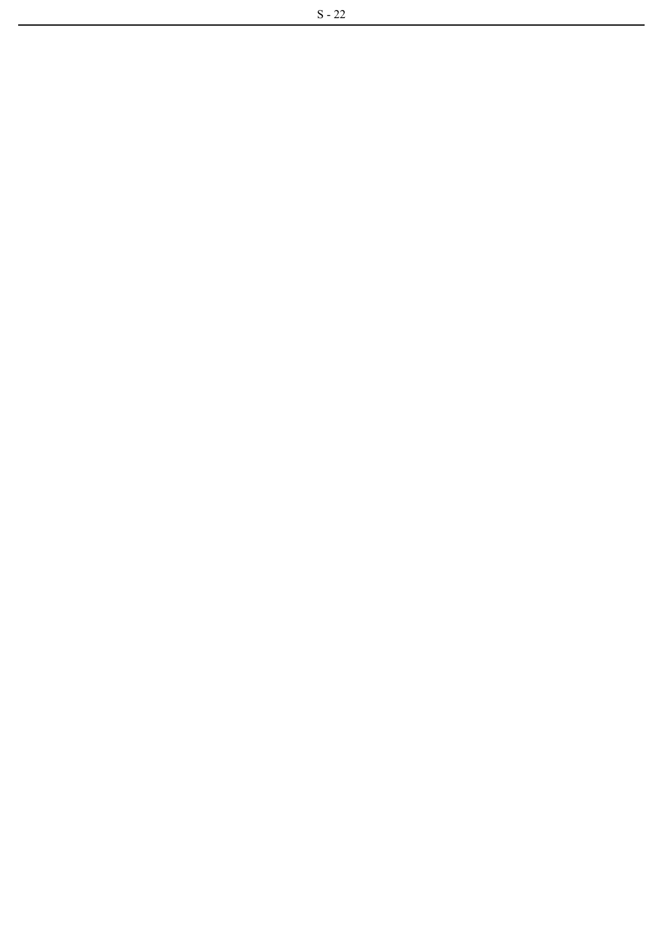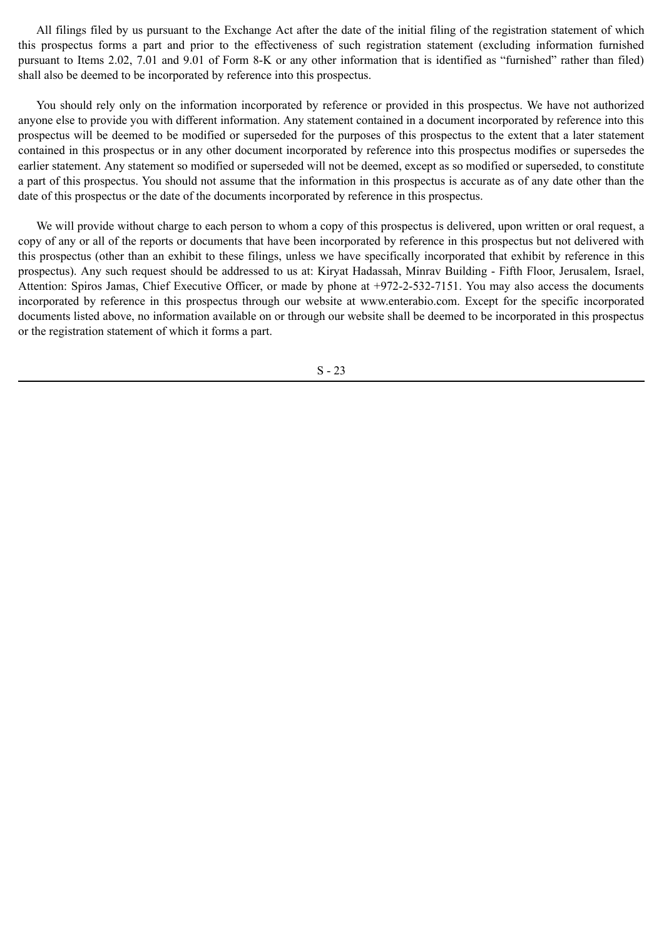All filings filed by us pursuant to the Exchange Act after the date of the initial filing of the registration statement of which this prospectus forms a part and prior to the effectiveness of such registration statement (excluding information furnished pursuant to Items 2.02, 7.01 and 9.01 of Form 8-K or any other information that is identified as "furnished" rather than filed) shall also be deemed to be incorporated by reference into this prospectus.

You should rely only on the information incorporated by reference or provided in this prospectus. We have not authorized anyone else to provide you with different information. Any statement contained in a document incorporated by reference into this prospectus will be deemed to be modified or superseded for the purposes of this prospectus to the extent that a later statement contained in this prospectus or in any other document incorporated by reference into this prospectus modifies or supersedes the earlier statement. Any statement so modified or superseded will not be deemed, except as so modified or superseded, to constitute a part of this prospectus. You should not assume that the information in this prospectus is accurate as of any date other than the date of this prospectus or the date of the documents incorporated by reference in this prospectus.

We will provide without charge to each person to whom a copy of this prospectus is delivered, upon written or oral request, a copy of any or all of the reports or documents that have been incorporated by reference in this prospectus but not delivered with this prospectus (other than an exhibit to these filings, unless we have specifically incorporated that exhibit by reference in this prospectus). Any such request should be addressed to us at: Kiryat Hadassah, Minrav Building - Fifth Floor, Jerusalem, Israel, Attention: Spiros Jamas, Chief Executive Officer, or made by phone at +972-2-532-7151. You may also access the documents incorporated by reference in this prospectus through our website at www.enterabio.com. Except for the specific incorporated documents listed above, no information available on or through our website shall be deemed to be incorporated in this prospectus or the registration statement of which it forms a part.